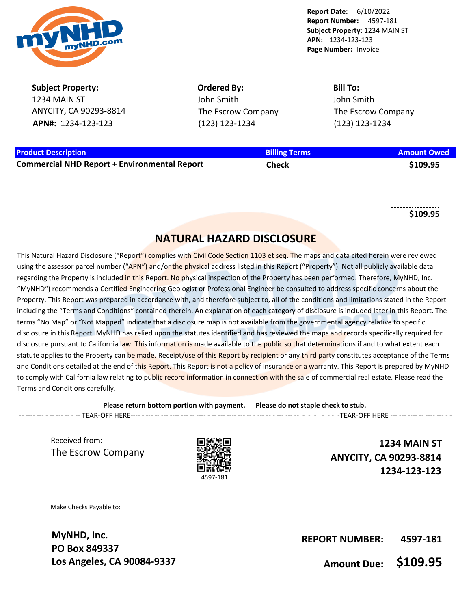

**Subject Property:** 1234 MAIN ST ANYCITY, CA 90293-8814 **APN#:** 1234-123-123

**Ordered By:** John Smith The Escrow Company (123) 123-1234

**Bill To:** John Smith The Escrow Company (123) 123-1234

## **Product Description Billing Terms Amount Owed**

**Commercial NHD Report + Environmental Report Check \$109.95**

**\$109.95**

## **NATURAL HAZARD DISCLOSURE**

This Natural Hazard Disclosure ("Report") complies with Civil Code Section 1103 et seg. The maps and data cited herein were reviewed using the assessor parcel number ("APN") and/or the physical address listed in this Report ("Property"). Not all publicly available data regarding the Property is included in this Report. No physical inspection of the Property has been performed. Therefore, MyNHD, Inc. "MyNHD") recommends a Certified Engineering Geologist or Professional Engineer be consulted to address specific concerns about the Property. This Report was prepared in accordance with, and therefore subject to, all of the conditions and limitations stated in the Report including the "Terms and Conditions" contained therein. An explanation of each category of disclosure is included later in this Report. The terms "No Map" or "Not Mapped" indicate that a disclosure map is not available from the governmental agency relative to specific disclosure in this Report. MyNHD has relied upon the statutes identified and has reviewed the maps and records specifically required for disclosure pursuant to California law. This information is made available to the public so that determinations if and to what extent each statute applies to the Property can be made. Receipt/use of this Report by recipient or any third party constitutes acceptance of the Terms and Conditions detailed at the end of this Report. This Report is not a policy of insurance or a warranty. This Report is prepared by MyNHD to comply with California law relating to public record information in connection with the sale of commercial real estate. Please read the Terms and Conditions carefully.

**Please return bottom portion with payment. Please do not staple check to stub.**  -- ---- --- - -- --- -- - -- TEAR-OFF HERE---- - --- -- --- ---- --- -- ---- - -- --- ---- --- -- - --- -- - --- --- -- - - - - - - -TEAR-OFF HERE --- --- ---- -- ---- --- - -

Received from: The Escrow Company



**1234 MAIN ST ANYCITY, CA 90293-8814 1234-123-123**

Make Checks Payable to:

**MyNHD, Inc. PO Box 849337 Los Angeles, CA 90084-9337**

**REPORT NUMBER: 4597-181**

**Amount Due: \$109.95**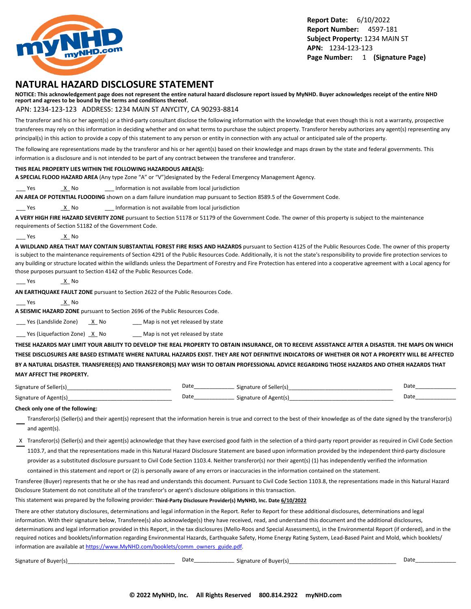

## **NATURAL HAZARD DISCLOSURE STATEMENT**

**NOTICE: This acknowledgement page does not represent the entire natural hazard disclosure report issued by MyNHD. Buyer acknowledges receipt of the entire NHD report and agrees to be bound by the terms and conditions thereof.**

#### APN: 1234-123-123 ADDRESS: 1234 MAIN ST ANYCITY, CA 90293-8814

The transferor and his or her agent(s) or a third-party consultant disclose the following information with the knowledge that even though this is not a warranty, prospective transferees may rely on this information in deciding whether and on what terms to purchase the subject property. Transferor hereby authorizes any agent(s) representing any principal(s) in this action to provide a copy of this statement to any person or entity in connection with any actual or anticipated sale of the property.

The following are representations made by the transferor and his or her agent(s) based on their knowledge and maps drawn by the state and federal governments. This information is a disclosure and is not intended to be part of any contract between the transferee and transferor.

#### **THIS REAL PROPERTY LIES WITHIN THE FOLLOWING HAZARDOUS AREA(S):**

**A SPECIAL FLOOD HAZARD AREA** (Any type Zone "A" or "V")designated by the Federal Emergency Management Agency.

Yes X No 2011 Information is not available from local jurisdiction

**AN AREA OF POTENTIAL FLOODING** shown on a dam failure inundation map pursuant to Section 8589.5 of the Government Code.

Yes X No 2011 Information is not available from local jurisdiction

**A VERY HIGH FIRE HAZARD SEVERITY ZONE** pursuant to Section 51178 or 51179 of the Government Code. The owner of this property is subject to the maintenance requirements of Section 51182 of the Government Code.

Yes X No.

**A WILDLAND AREA THAT MAY CONTAIN SUBSTANTIAL FOREST FIRE RISKS AND HAZARDS** pursuant to Section 4125 of the Public Resources Code. The owner of this property is subject to the maintenance requirements of Section 4291 of the Public Resources Code. Additionally, it is not the state's responsibility to provide fire protection services to any building or structure located within the wildlands unless the Department of Forestry and Fire Protection has entered into a cooperative agreement with a Local agency for those purposes pursuant to Section 4142 of the Public Resources Code.

```
___ Yes _X_ No
```
**AN EARTHQUAKE FAULT ZONE** pursuant to Section 2622 of the Public Resources Code.

Yes X No

**A SEISMIC HAZARD ZONE** pursuant to Section 2696 of the Public Resources Code.

 $\frac{1}{2}$  Yes (Landslide Zone)  $\frac{X}{X}$  No  $\frac{1}{2}$  Map is not yet released by state

 $\frac{1}{2}$  Yes (Liquefaction Zone)  $\frac{X}{X}$  No  $\frac{1}{2}$  Map is not yet released by state

**THESE HAZARDS MAY LIMIT YOUR ABILITY TO DEVELOP THE REAL PROPERTY TO OBTAIN INSURANCE, OR TO RECEIVE ASSISTANCE AFTER A DISASTER. THE MAPS ON WHICH THESE DISCLOSURES ARE BASED ESTIMATE WHERE NATURAL HAZARDS EXIST. THEY ARE NOT DEFINITIVE INDICATORS OF WHETHER OR NOT A PROPERTY WILL BE AFFECTED BY A NATURAL DISASTER. TRANSFEREE(S) AND TRANSFEROR(S) MAY WISH TO OBTAIN PROFESSIONAL ADVICE REGARDING THOSE HAZARDS AND OTHER HAZARDS THAT MAY AFFECT THE PROPERTY.**

| Signature of Seller(s) | Date | Signature of Seller(s) | Date |
|------------------------|------|------------------------|------|
| Signature of Agent(s)  | Date | Signature of Agent(s)  | Date |

#### **Check only one of the following:**

- Transferor(s) (Seller(s) and their agent(s) represent that the information herein is true and correct to the best of their knowledge as of the date signed by the transferor(s) and agent(s).
- X Transferor(s) (Seller(s) and their agent(s) acknowledge that they have exercised good faith in the selection of a third-party report provider as required in Civil Code Section 1103.7, and that the representations made in this Natural Hazard Disclosure Statement are based upon information provided by the independent third-party disclosure provider as a substituted disclosure pursuant to Civil Code Section 1103.4. Neither transferor(s) nor their agent(s) (1) has independently verified the information

contained in this statement and report or (2) is personally aware of any errors or inaccuracies in the information contained on the statement.

Transferee (Buyer) represents that he or she has read and understands this document. Pursuant to Civil Code Section 1103.8, the representations made in this Natural Hazard Disclosure Statement do not constitute all of the transferor's or agent's disclosure obligations in this transaction.

This statement was prepared by the following provider: **Third-Party Disclosure Provider(s) MyNHD, Inc. Date 6/10/2022**

There are other statutory disclosures, determinations and legal information in the Report. Refer to Report for these additional disclosures, determinations and legal information. With their signature below, Transferee(s) also acknowledge(s) they have received, read, and understand this document and the additional disclosures, determinations and legal information provided in this Report, in the tax disclosures (Mello-Roos and Special Assessments), in the Environmental Report (if ordered), and in the required notices and booklets/information regarding Environmental Hazards, Earthquake Safety, Home Energy Rating System, Lead-Based Paint and Mold, which booklets/ information are available at [https://www.MyNHD.com/booklets/comm\\_owners\\_guide.pdf](https://www.MyNHD.com/booklets/comm_owners_guide.pdf).

| ignature of Buyer(s) |  |
|----------------------|--|
|----------------------|--|

Signature of Buyer(s)\_\_\_\_\_\_\_\_\_\_\_\_\_\_\_\_\_\_\_\_\_\_\_\_\_\_\_\_\_\_\_\_\_\_\_ Date\_\_\_\_\_\_\_\_\_\_\_\_\_\_\_\_\_\_\_\_\_\_\_\_ Signature of Buyer(s)\_\_\_\_\_\_\_\_\_\_\_\_\_\_\_\_\_\_\_\_\_\_\_\_\_\_\_\_\_\_\_\_\_\_\_ Date\_\_\_\_\_\_\_\_\_\_\_\_\_\_\_\_\_\_\_\_\_\_\_\_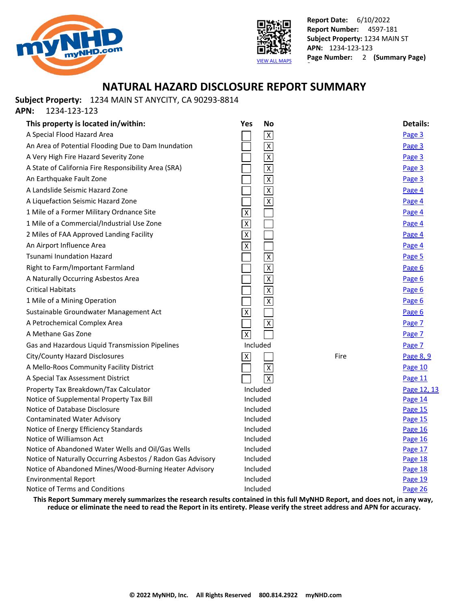



## **NATURAL HAZARD DISCLOSURE REPORT SUMMARY**

**Subject Property:** 1234 MAIN ST ANYCITY, CA 90293-8814

**APN:** 1234-123-123

| This property is located in/within:                         | Yes<br><b>No</b>        |      | <b>Details:</b> |
|-------------------------------------------------------------|-------------------------|------|-----------------|
| A Special Flood Hazard Area                                 | $\overline{X}$          |      | Page 3          |
| An Area of Potential Flooding Due to Dam Inundation         | $\overline{\mathsf{x}}$ |      | Page 3          |
| A Very High Fire Hazard Severity Zone                       | $\overline{\mathsf{x}}$ |      | Page 3          |
| A State of California Fire Responsibility Area (SRA)        | $\overline{\mathsf{X}}$ |      | Page 3          |
| An Earthquake Fault Zone                                    | $\overline{X}$          |      | Page 3          |
| A Landslide Seismic Hazard Zone                             | $\overline{\mathbf{x}}$ |      | Page 4          |
| A Liquefaction Seismic Hazard Zone                          | $\overline{\mathsf{x}}$ |      | Page 4          |
| 1 Mile of a Former Military Ordnance Site                   | $\overline{X}$          |      | Page 4          |
| 1 Mile of a Commercial/Industrial Use Zone                  | $\pmb{\chi}$            |      | Page 4          |
| 2 Miles of FAA Approved Landing Facility                    | $\overline{X}$          |      | Page 4          |
| An Airport Influence Area                                   | $\overline{\mathsf{X}}$ |      | Page 4          |
| Tsunami Inundation Hazard                                   | $\overline{\mathsf{x}}$ |      | Page 5          |
| Right to Farm/Important Farmland                            | $\overline{\mathsf{x}}$ |      | Page 6          |
| A Naturally Occurring Asbestos Area                         | $\overline{\mathsf{X}}$ |      | Page 6          |
| Critical Habitats                                           | $\overline{\mathsf{x}}$ |      | Page 6          |
| 1 Mile of a Mining Operation                                | $\overline{\mathsf{x}}$ |      | Page 6          |
| Sustainable Groundwater Management Act                      | $\overline{\mathsf{x}}$ |      | Page 6          |
| A Petrochemical Complex Area                                | $\overline{X}$          |      | Page 7          |
| A Methane Gas Zone                                          | $\overline{\mathsf{x}}$ |      | Page 7          |
| Gas and Hazardous Liquid Transmission Pipelines             | Included                |      | Page 7          |
| City/County Hazard Disclosures                              | $\pmb{\times}$          | Fire | Page 8, 9       |
| A Mello-Roos Community Facility District                    | $\overline{\mathsf{x}}$ |      | Page 10         |
| A Special Tax Assessment District                           | $\overline{x}$          |      | Page 11         |
| Property Tax Breakdown/Tax Calculator                       | Included                |      | Page 12, 13     |
| Notice of Supplemental Property Tax Bill                    | Included                |      | Page 14         |
| Notice of Database Disclosure                               | Included                |      | Page 15         |
| <b>Contaminated Water Advisory</b>                          | Included                |      | Page 15         |
| Notice of Energy Efficiency Standards                       | Included                |      | Page 16         |
| Notice of Williamson Act                                    | Included                |      | Page 16         |
| Notice of Abandoned Water Wells and Oil/Gas Wells           | Included                |      | Page 17         |
| Notice of Naturally Occurring Asbestos / Radon Gas Advisory | Included                |      | Page 18         |
| Notice of Abandoned Mines/Wood-Burning Heater Advisory      | Included                |      | Page 18         |
| <b>Environmental Report</b>                                 | Included                |      | Page 19         |
| Notice of Terms and Conditions                              | Included                |      | Page 26         |

**This Report Summary merely summarizes the research results contained in this full MyNHD Report, and does not, in any way, reduce or eliminate the need to read the Report in its entirety. Please verify the street address and APN for accuracy.**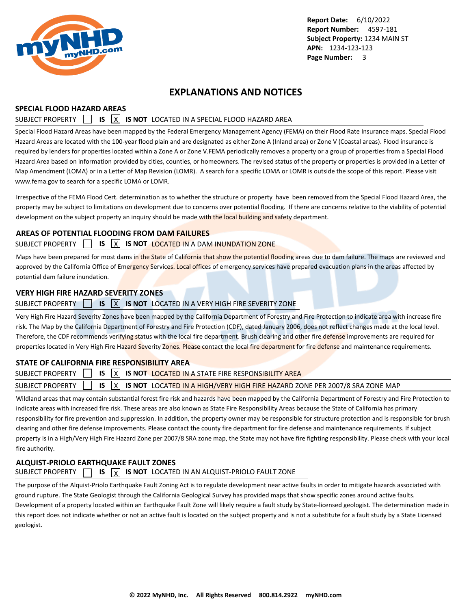<span id="page-3-0"></span>

## **EXPLANATIONS AND NOTICES**

### **SPECIAL FLOOD HAZARD AREAS**

## SUBJECT PROPERTY **15 X IS NOT** LOCATED IN A SPECIAL FLOOD HAZARD AREA

Special Flood Hazard Areas have been mapped by the Federal Emergency Management Agency (FEMA) on their Flood Rate Insurance maps. Special Flood Hazard Areas are located with the 100-year flood plain and are designated as either Zone A (Inland area) or Zone V (Coastal areas). Flood insurance is required by lenders for properties located within a Zone A or Zone V.FEMA periodically removes a property or a group of properties from a Special Flood Hazard Area based on information provided by cities, counties, or homeowners. The revised status of the property or properties is provided in a Letter of Map Amendment (LOMA) or in a Letter of Map Revision (LOMR). A search for a specific LOMA or LOMR is outside the scope of this report. Please visit www.fema.gov to search for a specific LOMA or LOMR.

Irrespective of the FEMA Flood Cert. determination as to whether the structure or property have been removed from the Special Flood Hazard Area, the property may be subject to limitations on development due to concerns over potential flooding. If there are concerns relative to the viability of potential development on the subject property an inquiry should be made with the local building and safety department.

### **AREAS OF POTENTIAL FLOODING FROM DAM FAILURES**

### SUBJECT PROPERTY **IS X IS NOT LOCATED IN A DAM INUNDATION ZONE**

Maps have been prepared for most dams in the State of California that show the potential flooding areas due to dam failure. The maps are reviewed and approved by the California Office of Emergency Services. Local offices of emergency services have prepared evacuation plans in the areas affected by potential dam failure inundation.

### **VERY HIGH FIRE HAZARD SEVERITY ZONES**

### SUBJECT PROPERTY **15 IS X IS NOT** LOCATED IN A VERY HIGH FIRE SEVERITY ZONE

Very High Fire Hazard Severity Zones have been mapped by the California Department of Forestry and Fire Protection to indicate area with increase fire risk. The Map by the California Department of Forestry and Fire Protection (CDF), dated January 2006, does not reflect changes made at the local level. Therefore, the CDF recommends verifying status with the local fire department. Brush clearing and other fire defense improvements are required for properties located in Very High Fire Hazard Severity Zones. Please contact the local fire department for fire defense and maintenance requirements.

## **STATE OF CALIFORNIA FIRE RESPONSIBILITY AREA**

|  |  | SUBJECT PROPERTY $\Box$ IS $\overline{X}$ IS not located in a state fire responsibility area                       |  |
|--|--|--------------------------------------------------------------------------------------------------------------------|--|
|  |  | SUBJECT PROPERTY $\Box$ IS $\boxed{X}$ IS NOT LOCATED IN A HIGH/VERY HIGH FIRE HAZARD ZONE PER 2007/8 SRA ZONE MAP |  |

Wildland areas that may contain substantial forest fire risk and hazards have been mapped by the California Department of Forestry and Fire Protection to indicate areas with increased fire risk. These areas are also known as State Fire Responsibility Areas because the State of California has primary responsibility for fire prevention and suppression. In addition, the property owner may be responsible for structure protection and is responsible for brush clearing and other fire defense improvements. Please contact the county fire department for fire defense and maintenance requirements. If subject property is in a High/Very High Fire Hazard Zone per 2007/8 SRA zone map, the State may not have fire fighting responsibility. Please check with your local fire authority.

## **ALQUIST-PRIOLO EARTHQUAKE FAULT ZONES**

## SUBJECT PROPERTY  $\Box$  **IS**  $\vert x \vert$  **IS NOT** LOCATED IN AN ALQUIST-PRIOLO FAULT ZONE

The purpose of the Alquist-Priolo Earthquake Fault Zoning Act is to regulate development near active faults in order to mitigate hazards associated with ground rupture. The State Geologist through the California Geological Survey has provided maps that show specific zones around active faults. Development of a property located within an Earthquake Fault Zone will likely require a fault study by State-licensed geologist. The determination made in this report does not indicate whether or not an active fault is located on the subject property and is not a substitute for a fault study by a State Licensed geologist.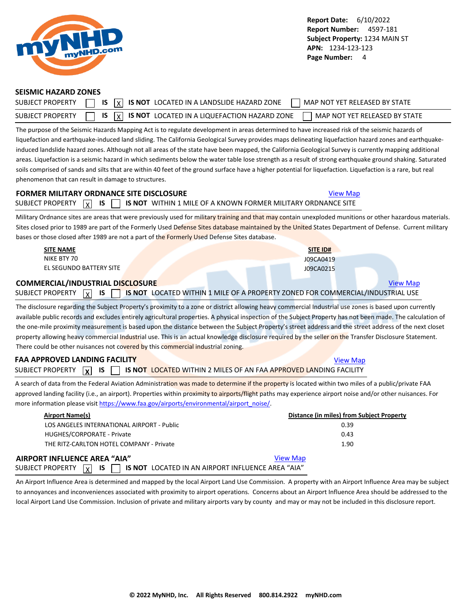<span id="page-4-0"></span>

#### **SEISMIC HAZARD ZONES**

| <b>SUBJECT PROPERTY</b> | $\overline{X}$ $\overline{X}$ is $\overline{X}$ is not located in a landslide hazard zone<br>MAP NOT YET RELEASED BY STATE |  |
|-------------------------|----------------------------------------------------------------------------------------------------------------------------|--|
| SUBJECT PROPERTY        | $\sqrt{1}$ IS $\sqrt{X}$ IS NOT LOCATED IN A LIQUEFACTION HAZARD ZONE<br>MAP NOT YET RELEASED BY STATE                     |  |

The purpose of the Seismic Hazards Mapping Act is to regulate development in areas determined to have increased risk of the seismic hazards of liquefaction and earthquake-induced land sliding. The California Geological Survey provides maps delineating liquefaction hazard zones and earthquakeinduced landslide hazard zones. Although not all areas of the state have been mapped, the California Geological Survey is currently mapping additional areas. Liquefaction is a seismic hazard in which sediments below the water table lose strength as a result of strong earthquake ground shaking. Saturated soils comprised of sands and silts that are within 40 feet of the ground surface have a higher potential for liquefaction. Liquefaction is a rare, but real phenomenon that can result in damage to structures.

## **FORMER MILITARY ORDNANCE SITE DISCLOSURE [View Map](https://www.mynhd.com/hazardmaps/1846069/844303)** View Map SUBJECT PROPERTY  $\boxed{\chi}$  **IS**  $\boxed{\phantom{\chi}}$  **is not** within 1 mile of a known former military ordnance site

Military Ordnance sites are areas that were previously used for military training and that may contain unexploded munitions or other hazardous materials. Sites closed prior to 1989 are part of the Formerly Used Defense Sites database maintained by the United States Department of Defense. Current military bases or those closed after 1989 are not a part of the Formerly Used Defense Sites database.

| <b>SITE NAME</b>                        | SITE ID#                                                                                 |                 |
|-----------------------------------------|------------------------------------------------------------------------------------------|-----------------|
| NIKE BTY 70                             | J09CA0419                                                                                |                 |
| EL SEGUNDO BATTERY SITE                 | J09CA0215                                                                                |                 |
| <b>COMMERCIAL/INDUSTRIAL DISCLOSURE</b> |                                                                                          | <b>View Map</b> |
| SUBJECT PROPERTY<br>x                   | IS $\Box$ IS NOT LOCATED WITHIN 1 MILE OF A PROPERTY ZONED FOR COMMERCIAL/INDUSTRIAL USE |                 |

The disclosure regarding the Subject Property's proximity to a zone or district allowing heavy commercial Industrial use zones is based upon currently available public records and excludes entirely agricultural properties. A physical inspection of the Subject Property has not been made. The calculation of the one-mile proximity measurement is based upon the distance between the Subject Property's street address and the street address of the next closet property allowing heavy commercial Industrial use. This is an actual knowledge disclosure required by the seller on the Transfer Disclosure Statement. There could be other nuisances not covered by this commercial industrial zoning.

## **FAA APPROVED LANDING FACILITY [View Map](https://www.mynhd.com/hazardmaps/1846076/844303)** View Map SUBJECT PROPERTY **X IS TUBBEL IS NOT LOCATED WITHIN 2 MILES OF AN FAA APPROVED LANDING FACILITY**

A search of data from the Federal Aviation Administration was made to determine if the property is located within two miles of a public/private FAA approved landing facility (i.e., an airport). Properties within proximity to airports/flight paths may experience airport noise and/or other nuisances. For more information please visit [https://www.faa.gov/airports/environmental/airport\\_noise/](https://www.faa.gov/airports/environmental/airport_noise/).

| Airport Name(s)                                                                                  | Distance (in miles) from Subject Property |
|--------------------------------------------------------------------------------------------------|-------------------------------------------|
| LOS ANGELES INTERNATIONAL AIRPORT - Public                                                       | 0.39                                      |
| HUGHES/CORPORATE - Private                                                                       | 0.43                                      |
| THE RITZ-CARLTON HOTEL COMPANY - Private                                                         | 1.90                                      |
| AIRPORT INFLUENCE AREA "AIA"                                                                     | <b>View Map</b>                           |
| <b>IS</b><br><b>IS NOT LOCATED IN AN AIRPORT INFLUENCE AREA "AIA"</b><br> x <br>SUBJECT PROPERTY |                                           |

An Airport Influence Area is determined and mapped by the local Airport Land Use Commission. A property with an Airport Influence Area may be subject to annoyances and inconveniences associated with proximity to airport operations. Concerns about an Airport Influence Area should be addressed to the local Airport Land Use Commission. Inclusion of private and military airports vary by county and may or may not be included in this disclosure report.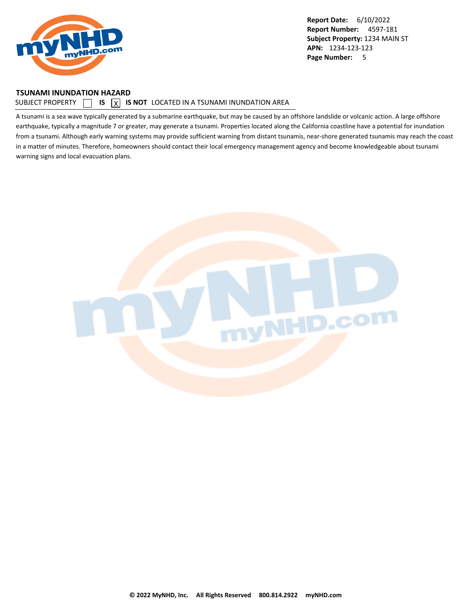<span id="page-5-0"></span>

#### **TSUNAMI INUNDATION HAZARD**

#### SUBJECT PROPERTY  $\Box$  **IS**  $\Box$  **IS NOT** LOCATED IN A TSUNAMI INUNDATION AREA

A tsunami is a sea wave typically generated by a submarine earthquake, but may be caused by an offshore landslide or volcanic action. A large offshore earthquake, typically a magnitude 7 or greater, may generate a tsunami. Properties located along the California coastline have a potential for inundation from a tsunami. Although early warning systems may provide sufficient warning from distant tsunamis, near-shore generated tsunamis may reach the coast in a matter of minutes. Therefore, homeowners should contact their local emergency management agency and become knowledgeable about tsunami warning signs and local evacuation plans.

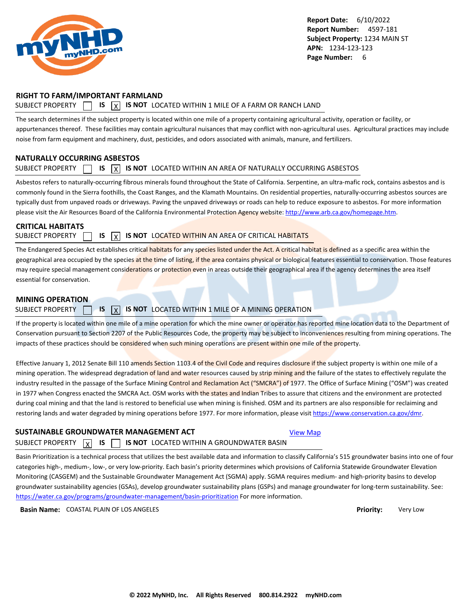<span id="page-6-0"></span>

### **RIGHT TO FARM/IMPORTANT FARMLAND**

### SUBJECT PROPERTY  $\Box$  **IS**  $\overline{X}$  **IS NOT** LOCATED WITHIN 1 MILE OF A FARM OR RANCH LAND

The search determines if the subject property is located within one mile of a property containing agricultural activity, operation or facility, or appurtenances thereof. These facilities may contain agricultural nuisances that may conflict with non-agricultural uses. Agricultural practices may include noise from farm equipment and machinery, dust, pesticides, and odors associated with animals, manure, and fertilizers.

### **NATURALLY OCCURRING ASBESTOS**

### SUBJECT PROPERTY  $\Box$  **IS**  $\overline{X}$  **IS NOT** LOCATED WITHIN AN AREA OF NATURALLY OCCURRING ASBESTOS

Asbestos refers to naturally-occurring fibrous minerals found throughout the State of California. Serpentine, an ultra-mafic rock, contains asbestos and is commonly found in the Sierra foothills, the Coast Ranges, and the Klamath Mountains. On residential properties, naturally-occurring asbestos sources are typically dust from unpaved roads or driveways. Paving the unpaved driveways or roads can help to reduce exposure to asbestos. For more information please visit the Air Resources Board of the California Environmental Protection Agency website:<http://www.arb.ca.gov/homepage.htm>.

### **CRITICAL HABITATS**

SUBJECT PROPERTY **15 IS X IS NOT** LOCATED WITHIN AN AREA OF CRITICAL HABITATS

The Endangered Species Act establishes critical habitats for any species listed under the Act. A critical habitat is defined as a specific area within the geographical area occupied by the species at the time of listing, if the area contains physical or biological features essential to conservation. Those features may require special management considerations or protection even in areas outside their geographical area if the agency determines the area itself essential for conservation.

#### **MINING OPERATION**

### SUBJECT PROPERTY **15 X IS NOT** LOCATED WITHIN 1 MILE OF A MINING OPERATION

If the property is located within one mile of a mine operation for which the mine owner or operator has reported mine location data to the Department of Conservation pursuant to Section 2207 of the Public Resources Code, the property may be subject to inconveniences resulting from mining operations. The impacts of these practices should be considered when such mining operations are present within one mile of the property.

Effective January 1, 2012 Senate Bill 110 amends Section 1103.4 of the Civil Code and requires disclosure if the subject property is within one mile of a mining operation. The widespread degradation of land and water resources caused by strip mining and the failure of the states to effectively regulate the industry resulted in the passage of the Surface Mining Control and Reclamation Act ("SMCRA") of 1977. The Office of Surface Mining ("OSM") was created in 1977 when Congress enacted the SMCRA Act. OSM works with the states and Indian Tribes to assure that citizens and the environment are protected during coal mining and that the land is restored to beneficial use when mining is finished. OSM and its partners are also responsible for reclaiming and restoring lands and water degraded by mining operations before 1977. For more information, please visit<https://www.conservation.ca.gov/dmr>.

### **SUSTAINABLE GROUNDWATER MANAGEMENT ACT**

#### SUBJECT PROPERTY  $\boxed{x}$  IS  $\boxed{y}$ **IS IS NOT** LOCATED WITHIN A GROUNDWATER BASIN

Basin Prioritization is a technical process that utilizes the best available data and information to classify California's 515 groundwater basins into one of four categories high-, medium-, low-, or very low-priority. Each basin's priority determines which provisions of California Statewide Groundwater Elevation Monitoring (CASGEM) and the Sustainable Groundwater Management Act (SGMA) apply. SGMA requires medium- and high-priority basins to develop groundwater sustainability agencies (GSAs), develop groundwater sustainability plans (GSPs) and manage groundwater for long-term sustainability. See: <https://water.ca.gov/programs/groundwater-management/basin-prioritization>For more information.

**Basin Name:** COASTAL PLAIN OF LOS ANGELES **Priority:** Very Low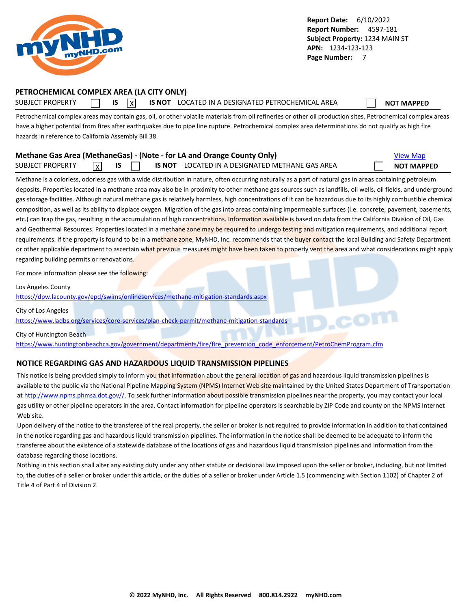<span id="page-7-0"></span>

## **PETROCHEMICAL COMPLEX AREA (LA CITY ONLY)**

SUBJECT PROPERTY **IS** IS **INOT LOCATED IN A DESIGNATED PETROCHEMICAL AREA NOT MAPPED** 

Petrochemical complex areas may contain gas, oil, or other volatile materials from oil refineries or other oil production sites. Petrochemical complex areas have a higher potential from fires after earthquakes due to pipe line rupture. Petrochemical complex area determinations do not qualify as high fire hazards in reference to California Assembly Bill 38.

|                         |                |  | Methane Gas Area (MethaneGas) - (Note - for LA and Orange County Only) | <b>View Map</b>   |
|-------------------------|----------------|--|------------------------------------------------------------------------|-------------------|
| <b>SUBJECT PROPERTY</b> | $\overline{x}$ |  | IS NOT LOCATED IN A DESIGNATED METHANE GAS AREA                        | <b>NOT MAPPED</b> |

Methane is a colorless, odorless gas with a wide distribution in nature, often occurring naturally as a part of natural gas in areas containing petroleum deposits. Properties located in a methane area may also be in proximity to other methane gas sources such as landfills, oil wells, oil fields, and underground gas storage facilities. Although natural methane gas is relatively harmless, high concentrations of it can be hazardous due to its highly combustible chemical composition, as well as its ability to displace oxygen. Migration of the gas into areas containing impermeable surfaces (i.e. concrete, pavement, basements, etc.) can trap the gas, resulting in the accumulation of high concentrations. Information available is based on data from the California Division of Oil, Gas and Geothermal Resources. Properties located in a methane zone may be required to undergo testing and mitigation requirements, and additional report requirements. If the property is found to be in a methane zone, MyNHD, Inc. recommends that the buyer contact the local Building and Safety Department or other applicable department to ascertain what previous measures might have been taken to properly vent the area and what considerations might apply regarding building permits or renovations.

For more information please see the following:

Los Angeles County

<https://dpw.lacounty.gov/epd/swims/onlineservices/methane-mitigation-standards.aspx>

City of Los Angeles

<https://www.ladbs.org/services/core-services/plan-check-permit/methane-mitigation-standards>

City of Huntington Beach

[https://www.huntingtonbeachca.gov/government/departments/fire/fire\\_prevention\\_code\\_enforcement/PetroChemProgram.cfm](https://www.huntingtonbeachca.gov/government/departments/fire/fire_prevention_code_enforcement/PetroChemProgram.cfm)

### **NOTICE REGARDING GAS AND HAZARDOUS LIQUID TRANSMISSION PIPELINES**

This notice is being provided simply to inform you that information about the general location of gas and hazardous liquid transmission pipelines is available to the public via the National Pipeline Mapping System (NPMS) Internet Web site maintained by the United States Department of Transportation at [http://www.npms.phmsa.dot.gov//.](http://www.npms.phmsa.dot.gov/) To seek further information about possible transmission pipelines near the property, you may contact your local gas utility or other pipeline operators in the area. Contact information for pipeline operators is searchable by ZIP Code and county on the NPMS Internet Web site.

Upon delivery of the notice to the transferee of the real property, the seller or broker is not required to provide information in addition to that contained in the notice regarding gas and hazardous liquid transmission pipelines. The information in the notice shall be deemed to be adequate to inform the transferee about the existence of a statewide database of the locations of gas and hazardous liquid transmission pipelines and information from the database regarding those locations.

Nothing in this section shall alter any existing duty under any other statute or decisional law imposed upon the seller or broker, including, but not limited to, the duties of a seller or broker under this article, or the duties of a seller or broker under Article 1.5 (commencing with Section 1102) of Chapter 2 of Title 4 of Part 4 of Division 2.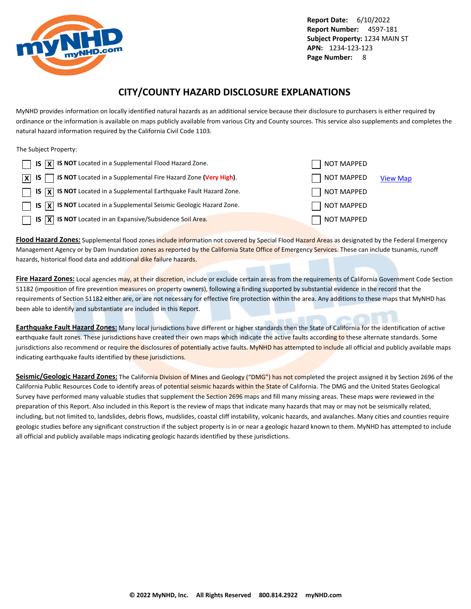<span id="page-8-0"></span>

## **CITY/COUNTY HAZARD DISCLOSURE EXPLANATIONS**

MyNHD provides information on locally identified natural hazards as an additional service because their disclosure to purchasers is either required by ordinance or the information is available on maps publicly available from various City and County sources. This service also supplements and completes the natural hazard information required by the California Civil Code 1103.

The Subject Property:

| $\Box$ IS $\overline{X}$ IS NOT Located in a Supplemental Flood Hazard Zone.                                 | NOT MAPPED        |                 |
|--------------------------------------------------------------------------------------------------------------|-------------------|-----------------|
| $\boxed{\mathsf{X}}$ IS $\boxed{\phantom{1}}$ IS NOT Located in a Supplemental Fire Hazard Zone (Very High). | NOT MAPPED        | <b>View Map</b> |
| $\Box$ IS $\overline{X}$ IS NOT Located in a Supplemental Earthquake Fault Hazard Zone.                      | NOT MAPPED        |                 |
| $\Box$ IS $\overline{X}$ IS NOT Located in a Supplemental Seismic Geologic Hazard Zone.                      | NOT MAPPED        |                 |
| $\Box$ IS $\overline{X}$ IS NOT Located in an Expansive/Subsidence Soil Area.                                | <b>NOT MAPPED</b> |                 |

**Flood Hazard Zones:** Supplemental flood zones include information not covered by Special Flood Hazard Areas as designated by the Federal Emergency Management Agency or by Dam Inundation zones as reported by the California State Office of Emergency Services. These can include tsunamis, runoff hazards, historical flood data and additional dike failure hazards.

**Fire Hazard Zones:** Local agencies may, at their discretion, include or exclude certain areas from the requirements of California Government Code Section 51182 (imposition of fire prevention measures on property owners), following a finding supported by substantial evidence in the record that the requirements of Section 51182 either are, or are not necessary for effective fire protection within the area. Any additions to these maps that MyNHD has been able to identify and substantiate are included in this Report.

**Earthquake Fault Hazard Zones:** Many local jurisdictions have different or higher standards then the State of California for the identification of active earthquake fault zones. These jurisdictions have created their own maps which indicate the active faults according to these alternate standards. Some jurisdictions also recommend or require the disclosures of potentially active faults. MyNHD has attempted to include all official and publicly available maps indicating earthquake faults identified by these jurisdictions.

Seismic/Geologic Hazard Zones: The California Division of Mines and Geology ("DMG") has not completed the project assigned it by Section 2696 of the California Public Resources Code to identify areas of potential seismic hazards within the State of California. The DMG and the United States Geological Survey have performed many valuable studies that supplement the Section 2696 maps and fill many missing areas. These maps were reviewed in the preparation of this Report. Also included in this Report is the review of maps that indicate many hazards that may or may not be seismically related, including, but not limited to, landslides, debris flows, mudslides, coastal cliff instability, volcanic hazards, and avalanches. Many cities and counties require geologic studies before any significant construction if the subject property is in or near a geologic hazard known to them. MyNHD has attempted to include all official and publicly available maps indicating geologic hazards identified by these jurisdictions.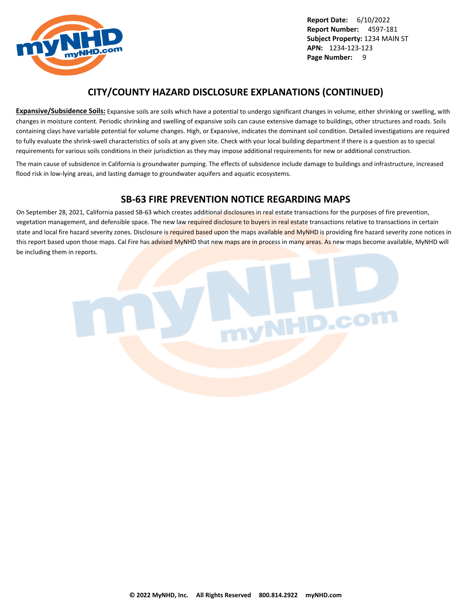

## **CITY/COUNTY HAZARD DISCLOSURE EXPLANATIONS (CONTINUED)**

**Expansive/Subsidence Soils:** Expansive soils are soils which have a potential to undergo significant changes in volume, either shrinking or swelling, with changes in moisture content. Periodic shrinking and swelling of expansive soils can cause extensive damage to buildings, other structures and roads. Soils containing clays have variable potential for volume changes. High, or Expansive, indicates the dominant soil condition. Detailed investigations are required to fully evaluate the shrink-swell characteristics of soils at any given site. Check with your local building department if there is a question as to special requirements for various soils conditions in their jurisdiction as they may impose additional requirements for new or additional construction.

The main cause of subsidence in California is groundwater pumping. The effects of subsidence include damage to buildings and infrastructure, increased flood risk in low-lying areas, and lasting damage to groundwater aquifers and aquatic ecosystems.

## **SB-63 FIRE PREVENTION NOTICE REGARDING MAPS**

On September 28, 2021, California passed SB-63 which creates additional disclosures in real estate transactions for the purposes of fire prevention, vegetation management, and defensible space. The new law required disclosure to buyers in real estate transactions relative to transactions in certain state and local fire hazard severity zones. Disclosure is required based upon the maps available and MyNHD is providing fire hazard severity zone notices in this report based upon those maps. Cal Fire has advised MyNHD that new maps are in process in many areas. As new maps become available, MyNHD will be including them in reports.

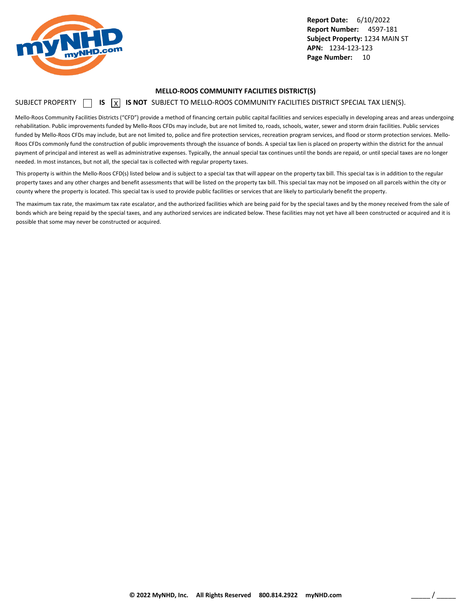<span id="page-10-0"></span>

#### **MELLO-ROOS COMMUNITY FACILITIES DISTRICT(S)**

### SUBJECT PROPERTY  $\Box$  **IS**  $\Box$  **IS NOT** SUBJECT TO MELLO-ROOS COMMUNITY FACILITIES DISTRICT SPECIAL TAX LIEN(S).

Mello-Roos Community Facilities Districts ("CFD") provide a method of financing certain public capital facilities and services especially in developing areas and areas undergoing rehabilitation. Public improvements funded by Mello-Roos CFDs may include, but are not limited to, roads, schools, water, sewer and storm drain facilities. Public services funded by Mello-Roos CFDs may include, but are not limited to, police and fire protection services, recreation program services, and flood or storm protection services. Mello-Roos CFDs commonly fund the construction of public improvements through the issuance of bonds. A special tax lien is placed on property within the district for the annual payment of principal and interest as well as administrative expenses. Typically, the annual special tax continues until the bonds are repaid, or until special taxes are no longer needed. In most instances, but not all, the special tax is collected with regular property taxes.

This property is within the Mello-Roos CFD(s) listed below and is subject to a special tax that will appear on the property tax bill. This special tax is in addition to the regular property taxes and any other charges and benefit assessments that will be listed on the property tax bill. This special tax may not be imposed on all parcels within the city or county where the property is located. This special tax is used to provide public facilities or services that are likely to particularly benefit the property.

The maximum tax rate, the maximum tax rate escalator, and the authorized facilities which are being paid for by the special taxes and by the money received from the sale of bonds which are being repaid by the special taxes, and any authorized services are indicated below. These facilities may not yet have all been constructed or acquired and it is possible that some may never be constructed or acquired.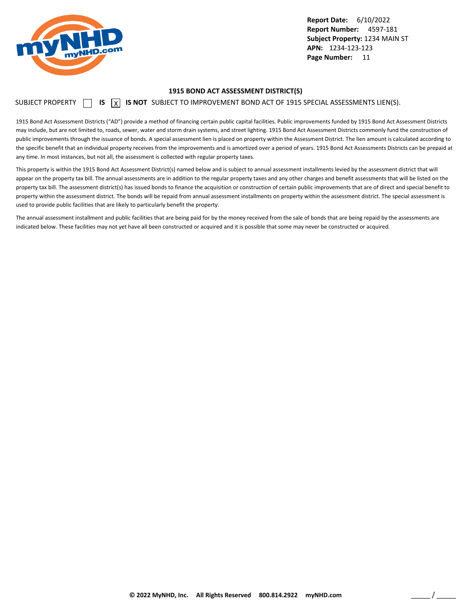<span id="page-11-0"></span>

#### **1915 BOND ACT ASSESSMENT DISTRICT(S)**

SUBJECT PROPERTY  $\Box$  **IS**  $\overline{X}$  **IS NOT** SUBJECT TO IMPROVEMENT BOND ACT OF 1915 SPECIAL ASSESSMENTS LIEN(S).

1915 Bond Act Assessment Districts ("AD") provide a method of financing certain public capital facilities. Public improvements funded by 1915 Bond Act Assessment Districts may include, but are not limited to, roads, sewer, water and storm drain systems, and street lighting. 1915 Bond Act Assessment Districts commonly fund the construction of public improvements through the issuance of bonds. A special assessment lien is placed on property within the Assessment District. The lien amount is calculated according to the specific benefit that an individual property receives from the improvements and is amortized over a period of years. 1915 Bond Act Assessments Districts can be prepaid at any time. In most instances, but not all, the assessment is collected with regular property taxes.

This property is within the 1915 Bond Act Assessment District(s) named below and is subject to annual assessment installments levied by the assessment district that will appear on the property tax bill. The annual assessments are in addition to the regular property taxes and any other charges and benefit assessments that will be listed on the property tax bill. The assessment district(s) has issued bonds to finance the acquisition or construction of certain public improvements that are of direct and special benefit to property within the assessment district. The bonds will be repaid from annual assessment installments on property within the assessment district. The special assessment is used to provide public facilities that are likely to particularly benefit the property.

The annual assessment installment and public facilities that are being paid for by the money received from the sale of bonds that are being repaid by the assessments are indicated below. These facilities may not yet have all been constructed or acquired and it is possible that some may never be constructed or acquired.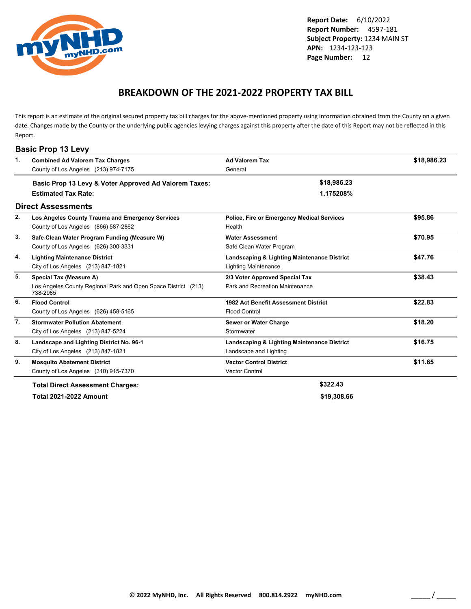<span id="page-12-0"></span>

## **BREAKDOWN OF THE 2021-2022 PROPERTY TAX BILL**

This report is an estimate of the original secured property tax bill charges for the above-mentioned property using information obtained from the County on a given date. Changes made by the County or the underlying public agencies levying charges against this property after the date of this Report may not be reflected in this Report.

| $\mathbf{1}$ . | <b>Combined Ad Valorem Tax Charges</b>                                     | <b>Ad Valorem Tax</b>                             | \$18,986.23 |
|----------------|----------------------------------------------------------------------------|---------------------------------------------------|-------------|
|                | County of Los Angeles (213) 974-7175                                       | General                                           |             |
|                | Basic Prop 13 Levy & Voter Approved Ad Valorem Taxes:                      | \$18,986.23                                       |             |
|                | <b>Estimated Tax Rate:</b>                                                 | 1.175208%                                         |             |
|                | <b>Direct Assessments</b>                                                  |                                                   |             |
| 2.             | Los Angeles County Trauma and Emergency Services                           | <b>Police, Fire or Emergency Medical Services</b> | \$95.86     |
|                | County of Los Angeles (866) 587-2862                                       | Health                                            |             |
| 3.             | Safe Clean Water Program Funding (Measure W)                               | <b>Water Assessment</b>                           | \$70.95     |
|                | County of Los Angeles (626) 300-3331                                       | Safe Clean Water Program                          |             |
| 4.             | <b>Lighting Maintenance District</b>                                       | Landscaping & Lighting Maintenance District       | \$47.76     |
|                | City of Los Angeles (213) 847-1821                                         | <b>Lighting Maintenance</b>                       |             |
| 5.             | Special Tax (Measure A)                                                    | 2/3 Voter Approved Special Tax                    | \$38.43     |
|                | Los Angeles County Regional Park and Open Space District (213)<br>738-2985 | Park and Recreation Maintenance                   |             |
| 6.             | <b>Flood Control</b>                                                       | 1982 Act Benefit Assessment District              | \$22.83     |
|                | County of Los Angeles (626) 458-5165                                       | <b>Flood Control</b>                              |             |
| 7.             | <b>Stormwater Pollution Abatement</b>                                      | Sewer or Water Charge                             | \$18.20     |
|                | City of Los Angeles (213) 847-5224                                         | Stormwater                                        |             |
| 8.             | Landscape and Lighting District No. 96-1                                   | Landscaping & Lighting Maintenance District       | \$16.75     |
|                | City of Los Angeles (213) 847-1821                                         | Landscape and Lighting                            |             |
| 9.             | <b>Mosquito Abatement District</b>                                         | <b>Vector Control District</b>                    | \$11.65     |
|                | County of Los Angeles (310) 915-7370                                       | <b>Vector Control</b>                             |             |
|                | <b>Total Direct Assessment Charges:</b>                                    | \$322.43                                          |             |
|                | <b>Total 2021-2022 Amount</b>                                              | \$19,308.66                                       |             |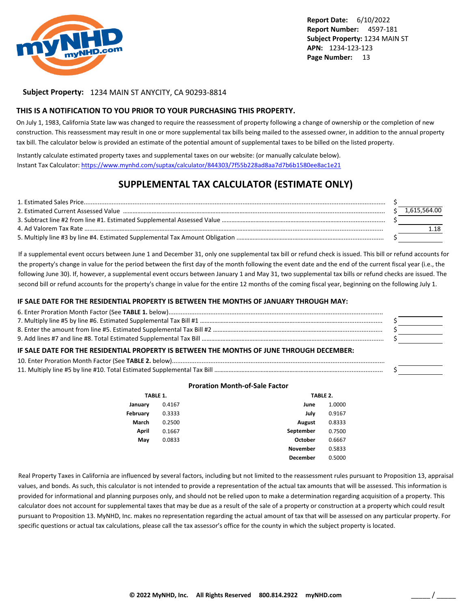

#### **Subject Property:** 1234 MAIN ST ANYCITY, CA 90293-8814

#### **THIS IS A NOTIFICATION TO YOU PRIOR TO YOUR PURCHASING THIS PROPERTY.**

On July 1, 1983, California State law was changed to require the reassessment of property following a change of ownership or the completion of new construction. This reassessment may result in one or more supplemental tax bills being mailed to the assessed owner, in addition to the annual property tax bill. The calculator below is provided an estimate of the potential amount of supplemental taxes to be billed on the listed property.

Instantly calculate estimated property taxes and supplemental taxes on our website: (or manually calculate below). Instant Tax Calculator: <https://www.mynhd.com/suptax/calculator/844303/7f55b228ad8aa7d7b6b1580ee8ac1e21>

## **SUPPLEMENTAL TAX CALCULATOR (ESTIMATE ONLY)**

|  | 1.615.564.00 |
|--|--------------|
|  |              |
|  |              |
|  |              |

If a supplemental event occurs between June 1 and December 31, only one supplemental tax bill or refund check is issued. This bill or refund accounts for the property's change in value for the period between the first day of the month following the event date and the end of the current fiscal year (i.e., the following June 30). If, however, a supplemental event occurs between January 1 and May 31, two supplemental tax bills or refund checks are issued. The second bill or refund accounts for the property's change in value for the entire 12 months of the coming fiscal year, beginning on the following July 1.

#### **IF SALE DATE FOR THE RESIDENTIAL PROPERTY IS BETWEEN THE MONTHS OF JANUARY THROUGH MAY:**

| IF SALE DATE FOR THE RESIDENTIAL PROPERTY IS BETWEEN THE MONTHS OF JUNE THROUGH DECEMBER: |  |
|-------------------------------------------------------------------------------------------|--|
|                                                                                           |  |
|                                                                                           |  |

#### **Proration Month-of-Sale Factor**

|          | TABLE 1. |                 | TABLE 2. |
|----------|----------|-----------------|----------|
| January  | 0.4167   | June            | 1.0000   |
| February | 0.3333   | July            | 0.9167   |
| March    | 0.2500   | <b>August</b>   | 0.8333   |
| April    | 0.1667   | September       | 0.7500   |
| May      | 0.0833   | October         | 0.6667   |
|          |          | <b>November</b> | 0.5833   |
|          |          | <b>December</b> | 0.5000   |

Real Property Taxes in California are influenced by several factors, including but not limited to the reassessment rules pursuant to Proposition 13, appraisal values, and bonds. As such, this calculator is not intended to provide a representation of the actual tax amounts that will be assessed. This information is provided for informational and planning purposes only, and should not be relied upon to make a determination regarding acquisition of a property. This calculator does not account for supplemental taxes that may be due as a result of the sale of a property or construction at a property which could result pursuant to Proposition 13. MyNHD, Inc. makes no representation regarding the actual amount of tax that will be assessed on any particular property. For specific questions or actual tax calculations, please call the tax assessor's office for the county in which the subject property is located.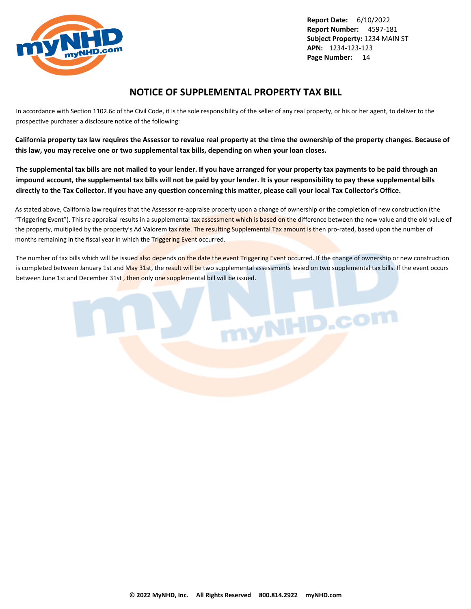<span id="page-14-0"></span>

## **NOTICE OF SUPPLEMENTAL PROPERTY TAX BILL**

In accordance with Section 1102.6c of the Civil Code, it is the sole responsibility of the seller of any real property, or his or her agent, to deliver to the prospective purchaser a disclosure notice of the following:

**California property tax law requires the Assessor to revalue real property at the time the ownership of the property changes. Because of this law, you may receive one or two supplemental tax bills, depending on when your loan closes.**

**The supplemental tax bills are not mailed to your lender. If you have arranged for your property tax payments to be paid through an impound account, the supplemental tax bills will not be paid by your lender. It is your responsibility to pay these supplemental bills directly to the Tax Collector. If you have any question concerning this matter, please call your local Tax Collector's Office.**

As stated above, California law requires that the Assessor re-appraise property upon a change of ownership or the completion of new construction (the "Triggering Event"). This re appraisal results in a supplemental tax assessment which is based on the difference between the new value and the old value of the property, multiplied by the property's Ad Valorem tax rate. The resulting Supplemental Tax amount is then pro-rated, based upon the number of months remaining in the fiscal year in which the Triggering Event occurred.

The number of tax bills which will be issued also depends on the date the event Triggering Event occurred. If the change of ownership or new construction is completed between January 1st and May 31st, the result will be two supplemental assessments levied on two supplemental tax bills. If the event occurs between June 1st and December 31st , then only one supplemental bill will be issued.

nyNHD.com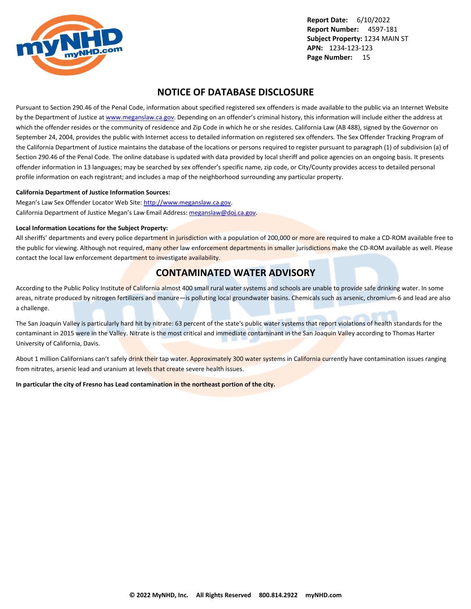<span id="page-15-0"></span>

## **NOTICE OF DATABASE DISCLOSURE**

Pursuant to Section 290.46 of the Penal Code, information about specified registered sex offenders is made available to the public via an Internet Website by the Department of Justice at <www.meganslaw.ca.gov>. Depending on an offender's criminal history, this information will include either the address at which the offender resides or the community of residence and Zip Code in which he or she resides. California Law (AB 488), signed by the Governor on September 24, 2004, provides the public with Internet access to detailed information on registered sex offenders. The Sex Offender Tracking Program of the California Department of Justice maintains the database of the locations or persons required to register pursuant to paragraph (1) of subdivision (a) of Section 290.46 of the Penal Code. The online database is updated with data provided by local sheriff and police agencies on an ongoing basis. It presents offender information in 13 languages; may be searched by sex offender's specific name, zip code, or City/County provides access to detailed personal profile information on each registrant; and includes a map of the neighborhood surrounding any particular property.

#### **California Department of Justice Information Sources:**

Megan's Law Sex Offender Locator Web Site: <http://www.meganslaw.ca.gov>. California Department of Justice Megan's Law Email Address: [meganslaw@doj.ca.gov](mailto:meganslaw@doj.ca.gov).

#### **Local Information Locations for the Subject Property:**

All sheriffs' departments and every police department in jurisdiction with a population of 200,000 or more are required to make a CD-ROM available free to the public for viewing. Although not required, many other law enforcement departments in smaller jurisdictions make the CD-ROM available as well. Please contact the local law enforcement department to investigate availability.

## **CONTAMINATED WATER ADVISORY**

According to the Public Policy Institute of California almost 400 small rural water systems and schools are unable to provide safe drinking water. In some areas, nitrate produced by nitrogen fertilizers and manure—is polluting local groundwater basins. Chemicals such as arsenic, chromium-6 and lead are also a challenge.

The San Joaquin Valley is particularly hard hit by nitrate: 63 percent of the state's public water systems that report violations of health standards for the contaminant in 2015 were in the Valley. Nitrate is the most critical and immediate contaminant in the San Joaquin Valley according to Thomas Harter University of California, Davis.

About 1 million Californians can't safely drink their tap water. Approximately 300 water systems in California currently have contamination issues ranging from nitrates, arsenic lead and uranium at levels that create severe health issues.

**In particular the city of Fresno has Lead contamination in the northeast portion of the city.**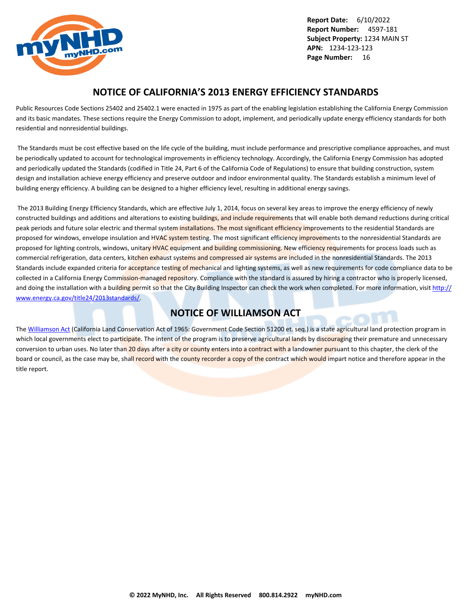<span id="page-16-0"></span>

## **NOTICE OF CALIFORNIA'S 2013 ENERGY EFFICIENCY STANDARDS**

Public Resources Code Sections 25402 and 25402.1 were enacted in 1975 as part of the enabling legislation establishing the California Energy Commission and its basic mandates. These sections require the Energy Commission to adopt, implement, and periodically update energy efficiency standards for both residential and nonresidential buildings.

 The Standards must be cost effective based on the life cycle of the building, must include performance and prescriptive compliance approaches, and must be periodically updated to account for technological improvements in efficiency technology. Accordingly, the California Energy Commission has adopted and periodically updated the Standards (codified in Title 24, Part 6 of the California Code of Regulations) to ensure that building construction, system design and installation achieve energy efficiency and preserve outdoor and indoor environmental quality. The Standards establish a minimum level of building energy efficiency. A building can be designed to a higher efficiency level, resulting in additional energy savings.

 The 2013 Building Energy Efficiency Standards, which are effective July 1, 2014, focus on several key areas to improve the energy efficiency of newly constructed buildings and additions and alterations to existing buildings, and include requirements that will enable both demand reductions during critical peak periods and future solar electric and thermal system installations. The most significant efficiency improvements to the residential Standards are proposed for windows, envelope insulation and HVAC system testing. The most significant efficiency improvements to the nonresidential Standards are proposed for lighting controls, windows, unitary HVAC equipment and building commissioning. New efficiency requirements for process loads such as commercial refrigeration, data centers, kitchen exhaust systems and compressed air systems are included in the nonresidential Standards. The 2013 Standards include expanded criteria for acceptance testing of mechanical and lighting systems, as well as new requirements for code compliance data to be collected in a California Energy Commission-managed repository. Compliance with the standard is assured by hiring a contractor who is properly licensed, and doing the installation with a building permit so that the City Building Inspector can check the work when completed. For more information, visit [http://](http://www.energy.ca.gov/title24/2013standards/) [www.energy.ca.gov/title24/2013standards/](http://www.energy.ca.gov/title24/2013standards/).

## **NOTICE OF WILLIAMSON ACT**

The [Williamson Act](http://www.conservation.ca.gov/dlrp/lca) (California Land Conservation Act of 1965: Government Code Section 51200 et. seq.) is a state agricultural land protection program in which local governments elect to participate. The intent of the program is to preserve agricultural lands by discouraging their premature and unnecessary conversion to urban uses. No later than 20 days after a city or county enters into a contract with a landowner pursuant to this chapter, the clerk of the board or council, as the case may be, shall record with the county recorder a copy of the contract which would impart notice and therefore appear in the title report.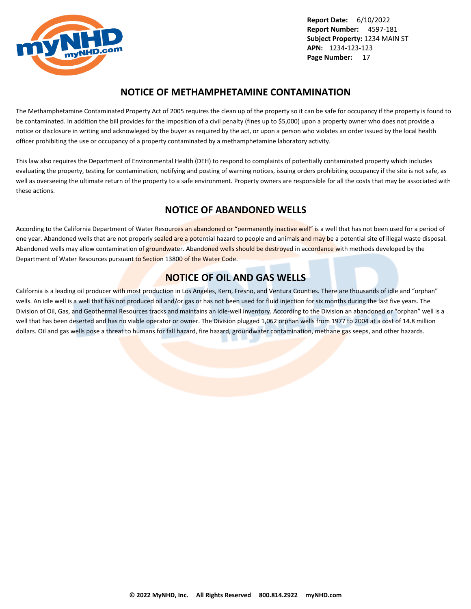<span id="page-17-0"></span>

## **NOTICE OF METHAMPHETAMINE CONTAMINATION**

The Methamphetamine Contaminated Property Act of 2005 requires the clean up of the property so it can be safe for occupancy if the property is found to be contaminated. In addition the bill provides for the imposition of a civil penalty (fines up to \$5,000) upon a property owner who does not provide a notice or disclosure in writing and acknowleged by the buyer as required by the act, or upon a person who violates an order issued by the local health officer prohibiting the use or occupancy of a property contaminated by a methamphetamine laboratory activity.

This law also requires the Department of Environmental Health (DEH) to respond to complaints of potentially contaminated property which includes evaluating the property, testing for contamination, notifying and posting of warning notices, issuing orders prohibiting occupancy if the site is not safe, as well as overseeing the ultimate return of the property to a safe environment. Property owners are responsible for all the costs that may be associated with these actions.

## **NOTICE OF ABANDONED WELLS**

According to the California Department of Water Resources an abandoned or "permanently inactive well" is a well that has not been used for a period of one year. Abandoned wells that are not properly sealed are a potential hazard to people and animals and may be a potential site of illegal waste disposal. Abandoned wells may allow contamination of groundwater. Abandoned wells should be destroyed in accordance with methods developed by the Department of Water Resources pursuant to Section 13800 of the Water Code.

## **NOTICE OF OIL AND GAS WELLS**

California is a leading oil producer with most production in Los Angeles, Kern, Fresno, and Ventura Counties. There are thousands of idle and "orphan" wells. An idle well is a well that has not produced oil and/or gas or has not been used for fluid injection for six months during the last five years. The Division of Oil, Gas, and Geothermal Resources tracks and maintains an idle-well inventory. According to the Division an abandoned or "orphan" well is a well that has been deserted and has no viable operator or owner. The Division plugged 1,062 orphan wells from 1977 to 2004 at a cost of 14.8 million dollars. Oil and gas wells pose a threat to humans for fall hazard, fire hazard, groundwater contamination, methane gas seeps, and other hazards.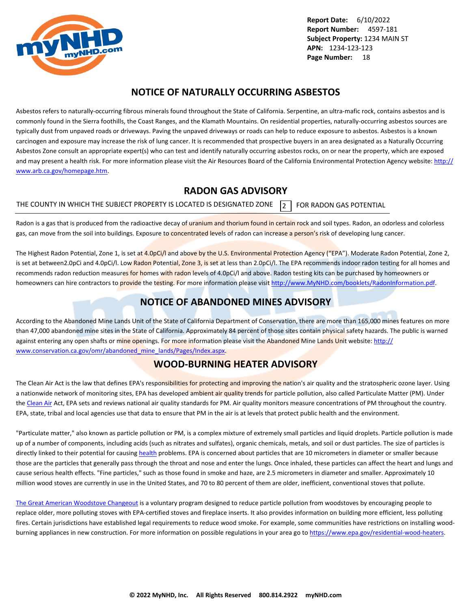<span id="page-18-0"></span>

## **NOTICE OF NATURALLY OCCURRING ASBESTOS**

Asbestos refers to naturally-occurring fibrous minerals found throughout the State of California. Serpentine, an ultra-mafic rock, contains asbestos and is commonly found in the Sierra foothills, the Coast Ranges, and the Klamath Mountains. On residential properties, naturally-occurring asbestos sources are typically dust from unpaved roads or driveways. Paving the unpaved driveways or roads can help to reduce exposure to asbestos. Asbestos is a known carcinogen and exposure may increase the risk of lung cancer. It is recommended that prospective buyers in an area designated as a Naturally Occurring Asbestos Zone consult an appropriate expert(s) who can test and identify naturally occurring asbestos rocks, on or near the property, which are exposed and may present a health risk. For more information please visit the Air Resources Board of the California Environmental Protection Agency website: [http://](http://www.arb.ca.gov/homepage.htm) [www.arb.ca.gov/homepage.htm](http://www.arb.ca.gov/homepage.htm).

## **RADON GAS ADVISORY**

THE COUNTY IN WHICH THE SUBJECT PROPERTY IS LOCATED IS DESIGNATED ZONE  $\overline{2}$  FOR RADON GAS POTENTIAL

Radon is a gas that is produced from the radioactive decay of uranium and thorium found in certain rock and soil types. Radon, an odorless and colorless gas, can move from the soil into buildings. Exposure to concentrated levels of radon can increase a person's risk of developing lung cancer.

The Highest Radon Potential, Zone 1, is set at 4.0pCi/l and above by the U.S. Environmental Protection Agency ("EPA"). Moderate Radon Potential, Zone 2, is set at between2.0pCi and 4.0pCi/l. Low Radon Potential, Zone 3, is set at less than 2.0pCi/l. The EPA recommends indoor radon testing for all homes and recommends radon reduction measures for homes with radon levels of 4.0pCi/l and above. Radon testing kits can be purchased by homeowners or homeowners can hire contractors to provide the testing. For more information please visit <http://www.MyNHD.com/booklets/RadonInformation.pdf>.

## **NOTICE OF ABANDONED MINES ADVISORY**

According to the Abandoned Mine Lands Unit of the State of California Department of Conservation, there are more than 165,000 mines features on more than 47,000 abandoned mine sites in the State of California. Approximately 84 percent of those sites contain physical safety hazards. The public is warned against entering any open shafts or mine openings. For more information please visit the Abandoned Mine Lands Unit website: [http://](http://www.conservation.ca.gov/omr/abandoned_mine_lands/Pages/Index.aspx) [www.conservation.ca.gov/omr/abandoned\\_mine\\_lands/Pages/Index.aspx](http://www.conservation.ca.gov/omr/abandoned_mine_lands/Pages/Index.aspx).

## **WOOD-BURNING HEATER ADVISORY**

The Clean Air Act is the law that defines EPA's responsibilities for protecting and improving the nation's air quality and the stratospheric ozone layer. Using a nationwide network of monitoring sites, EPA has developed ambient air quality trends for particle pollution, also called Particulate Matter (PM). Under the [Clean Air](http://www.epa.gov/airtrends/pm.html) Act, EPA sets and reviews national air quality standards for PM. Air quality monitors measure concentrations of PM throughout the country. EPA, state, tribal and local agencies use that data to ensure that PM in the air is at levels that protect public health and the environment.

"Particulate matter," also known as particle pollution or PM, is a complex mixture of extremely small particles and liquid droplets. Particle pollution is made up of a number of components, including acids (such as nitrates and sulfates), organic chemicals, metals, and soil or dust particles. The size of particles is directly linked to their potential for causing [health](http://www.epa.gov/pm/) problems. EPA is concerned about particles that are 10 micrometers in diameter or smaller because those are the particles that generally pass through the throat and nose and enter the lungs. Once inhaled, these particles can affect the heart and lungs and cause serious health effects. "Fine particles," such as those found in smoke and haze, are 2.5 micrometers in diameter and smaller. Approximately 10 million wood stoves are currently in use in the United States, and 70 to 80 percent of them are older, inefficient, conventional stoves that pollute.

[The Great American Woodstove Changeout](https://archive.epa.gov/bns/web/pdf/woodstovebrochure1_08.pdf) is a voluntary program designed to reduce particle pollution from woodstoves by encouraging people to replace older, more polluting stoves with EPA-certified stoves and fireplace inserts. It also provides information on building more efficient, less polluting fires. Certain jurisdictions have established legal requirements to reduce wood smoke. For example, some communities have restrictions on installing woodburning appliances in new construction. For more information on possible regulations in your area go to<https://www.epa.gov/residential-wood-heaters>.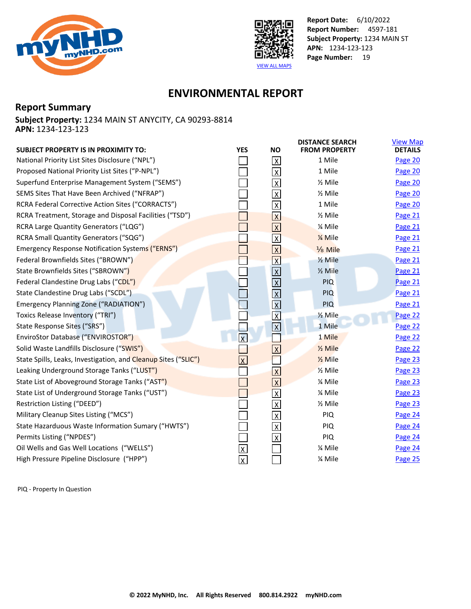<span id="page-19-0"></span>



## **ENVIRONMENTAL REPORT**

## **Report Summary**

**Subject Property:** 1234 MAIN ST ANYCITY, CA 90293-8814 **APN:** 1234-123-123

| <b>SUBJECT PROPERTY IS IN PROXIMITY TO:</b>                    | <b>YES</b>              | <b>NO</b>               | <b>DISTANCE SEARCH</b><br><b>FROM PROPERTY</b> | <b>View Map</b><br><b>DETAILS</b> |
|----------------------------------------------------------------|-------------------------|-------------------------|------------------------------------------------|-----------------------------------|
| National Priority List Sites Disclosure ("NPL")                |                         | $\mathsf{X}$            | 1 Mile                                         | Page 20                           |
| Proposed National Priority List Sites ("P-NPL")                |                         | $\overline{\mathsf{x}}$ | 1 Mile                                         | Page 20                           |
| Superfund Enterprise Management System ("SEMS")                |                         | $\mathsf X$             | $\frac{1}{2}$ Mile                             | Page 20                           |
| SEMS Sites That Have Been Archived ("NFRAP")                   |                         | $\overline{\mathsf{x}}$ | $\frac{1}{2}$ Mile                             | Page 20                           |
| RCRA Federal Corrective Action Sites ("CORRACTS")              |                         | $\overline{X}$          | 1 Mile                                         | Page 20                           |
| RCRA Treatment, Storage and Disposal Facilities ("TSD")        |                         | $\overline{\mathsf{X}}$ | $\frac{1}{2}$ Mile                             | Page 21                           |
| RCRA Large Quantity Generators ("LQG")                         |                         | $\overline{X}$          | % Mile                                         | Page 21                           |
| RCRA Small Quantity Generators ("SQG")                         |                         | $\overline{\mathsf{X}}$ | 1/ <sub>4</sub> Mile                           | Page 21                           |
| <b>Emergency Response Notification Systems ("ERNS")</b>        |                         | $\overline{X}$          | Mile                                           | Page 21                           |
| Federal Brownfields Sites ("BROWN")                            |                         | $\overline{\mathsf{x}}$ | $\frac{1}{2}$ Mile                             | Page 21                           |
| State Brownfields Sites ("SBROWN")                             |                         | $\overline{X}$          | $\frac{1}{2}$ Mile                             | <b>Page 21</b>                    |
| Federal Clandestine Drug Labs ("CDL")                          |                         | $\overline{\mathsf{x}}$ | <b>PIQ</b>                                     | Page 21                           |
| State Clandestine Drug Labs ("SCDL")                           |                         |                         | <b>PIQ</b>                                     | Page 21                           |
| Emergency Planning Zone ("RADIATION")                          |                         | $\frac{1}{x}$           | PIQ                                            | Page 21                           |
| Toxics Release Inventory ("TRI")                               |                         | $\overline{\mathbf{x}}$ | 1/ <sub>2</sub> Mile                           | Page 22                           |
| State Response Sites ("SRS")                                   |                         | $\overline{\mathbf{x}}$ | 1 Mile                                         | Page 22                           |
| EnviroStor Database ("ENVIROSTOR")                             | $\overline{\mathsf{x}}$ |                         | 1 Mile                                         | Page 22                           |
| Solid Waste Landfills Disclosure ("SWIS")                      |                         | $\overline{\mathsf{x}}$ | $\frac{1}{2}$ Mile                             | Page 22                           |
| State Spills, Leaks, Investigation, and Cleanup Sites ("SLIC") | $\overline{\mathsf{x}}$ |                         | $\frac{1}{2}$ Mile                             | Page 23                           |
| Leaking Underground Storage Tanks ("LUST")                     |                         | $\overline{\mathsf{X}}$ | $\frac{1}{2}$ Mile                             | Page 23                           |
| State List of Aboveground Storage Tanks ("AST")                |                         | $\overline{X}$          | % Mile                                         | Page 23                           |
| State List of Underground Storage Tanks ("UST")                |                         | $\overline{\mathsf{x}}$ | % Mile                                         | Page 23                           |
| Restriction Listing ("DEED")                                   |                         | $\overline{X}$          | $\frac{1}{2}$ Mile                             | Page 23                           |
| Military Cleanup Sites Listing ("MCS")                         |                         | $\overline{\mathsf{x}}$ | PIQ                                            | Page 24                           |
| State Hazarduous Waste Information Sumary ("HWTS")             |                         | $\overline{X}$          | <b>PIQ</b>                                     | Page 24                           |
| Permits Listing ("NPDES")                                      |                         | $\overline{\mathsf{x}}$ | PIQ                                            | Page 24                           |
| Oil Wells and Gas Well Locations ("WELLS")                     | $\overline{\mathsf{x}}$ |                         | % Mile                                         | Page 24                           |
| High Pressure Pipeline Disclosure ("HPP")                      | $\overline{\mathsf{x}}$ |                         | % Mile                                         | Page 25                           |

PIQ - Property In Question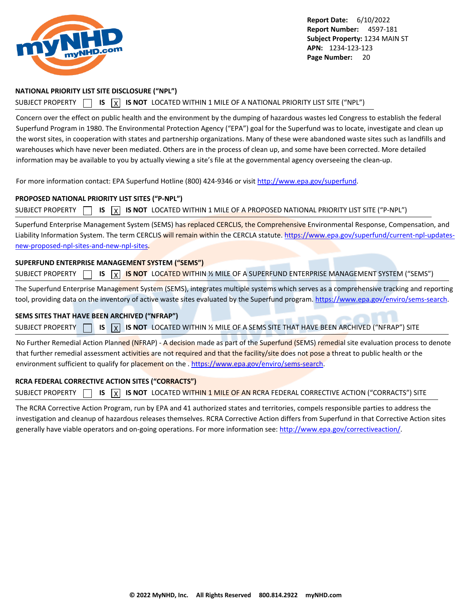<span id="page-20-0"></span>

#### **NATIONAL PRIORITY LIST SITE DISCLOSURE ("NPL")**

#### SUBJECT PROPERTY **15** IS **X** IS NOT LOCATED WITHIN 1 MILE OF A NATIONAL PRIORITY LIST SITE ("NPL")

Concern over the effect on public health and the environment by the dumping of hazardous wastes led Congress to establish the federal Superfund Program in 1980. The Environmental Protection Agency ("EPA") goal for the Superfund was to locate, investigate and clean up the worst sites, in cooperation with states and partnership organizations. Many of these were abandoned waste sites such as landfills and warehouses which have never been mediated. Others are in the process of clean up, and some have been corrected. More detailed information may be available to you by actually viewing a site's file at the governmental agency overseeing the clean-up.

For more information contact: EPA Superfund Hotline (800) 424-9346 or visit<http://www.epa.gov/superfund>.

#### **PROPOSED NATIONAL PRIORITY LIST SITES ("P-NPL")**

SUBJECT PROPERTY  $\Box$  **IS**  $\Box$  **IS NOT** LOCATED WITHIN 1 MILE OF A PROPOSED NATIONAL PRIORITY LIST SITE ("P-NPL")

Superfund Enterprise Management System (SEMS) has replaced CERCLIS, the Comprehensive Environmental Response, Compensation, and Liability Information System. The term CERCLIS will remain within the CERCLA statute. [https://www.epa.gov/superfund/current-npl-updates](https://www.epa.gov/superfund/current-npl-updates-new-proposed-npl-sites-and-new-npl-sites)[new-proposed-npl-sites-and-new-npl-sites](https://www.epa.gov/superfund/current-npl-updates-new-proposed-npl-sites-and-new-npl-sites).

#### **SUPERFUND ENTERPRISE MANAGEMENT SYSTEM ("SEMS")**

| <b>SUBJECT PROPERTY</b> |  |  |  |  |  |  | $\Box$ IS $\boxed{\chi}$ IS NOT LOCATED WITHIN ½ MILE OF A SUPERFUND ENTERPRISE MANAGEMENT SYSTEM ("SEMS") |
|-------------------------|--|--|--|--|--|--|------------------------------------------------------------------------------------------------------------|
|-------------------------|--|--|--|--|--|--|------------------------------------------------------------------------------------------------------------|

The Superfund Enterprise Management System (SEMS), integrates multiple systems which serves as a comprehensive tracking and reporting tool, providing data on the inventory of active waste sites evaluated by the Superfund program.<https://www.epa.gov/enviro/sems-search>.

#### **SEMS SITES THAT HAVE BEEN ARCHIVED ("NFRAP")**

SUBJECT PROPERTY **IS** IS **X** IS NOT LOCATED WITHIN % MILE OF A SEMS SITE THAT HAVE BEEN ARCHIVED ("NFRAP") SITE

No Further Remedial Action Planned (NFRAP) - A decision made as part of the Superfund (SEMS) remedial site evaluation process to denote that further remedial assessment activities are not required and that the facility/site does not pose a threat to public health or the environment sufficient to qualify for placement on the . <https://www.epa.gov/enviro/sems-search>.

#### **RCRA FEDERAL CORRECTIVE ACTION SITES ("CORRACTS")**

SUBJECT PROPERTY **15** IS **X** IS NOT LOCATED WITHIN 1 MILE OF AN RCRA FEDERAL CORRECTIVE ACTION ("CORRACTS") SITE

The RCRA Corrective Action Program, run by EPA and 41 authorized states and territories, compels responsible parties to address the investigation and cleanup of hazardous releases themselves. RCRA Corrective Action differs from Superfund in that Corrective Action sites generally have viable operators and on-going operations. For more information see:<http://www.epa.gov/correctiveaction/>.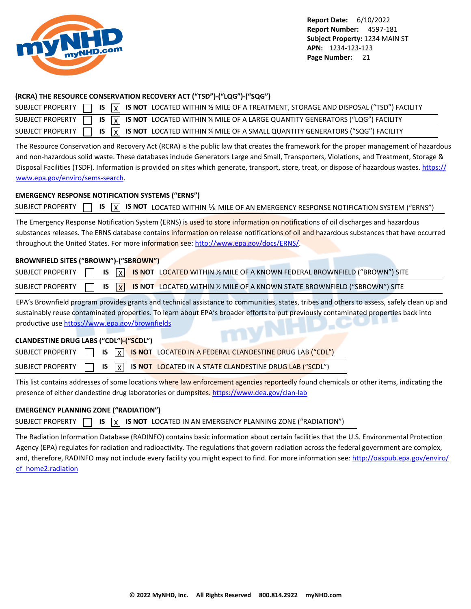<span id="page-21-0"></span>

### **(RCRA) THE RESOURCE CONSERVATION RECOVERY ACT ("TSD")-("LQG")-("SQG")**

|  |  | SUBJECT PROPERTY $\Box$ IS $\overline{X}$ IS NOT LOCATED WITHIN % MILE OF A TREATMENT, STORAGE AND DISPOSAL ("TSD") FACILITY |
|--|--|------------------------------------------------------------------------------------------------------------------------------|
|  |  | SUBJECT PROPERTY $\Box$ IS $\overline{X}$ IS NOT LOCATED WITHIN % MILE OF A LARGE QUANTITY GENERATORS ("LQG") FACILITY       |
|  |  | SUBJECT PROPERTY $\Box$ IS $\boxed{x}$ IS NOT LOCATED WITHIN % MILE OF A SMALL QUANTITY GENERATORS ("SQG") FACILITY          |

The Resource Conservation and Recovery Act (RCRA) is the public law that creates the framework for the proper management of hazardous and non-hazardous solid waste. These databases include Generators Large and Small, Transporters, Violations, and Treatment, Storage & Disposal Facilities (TSDF). Information is provided on sites which generate, transport, store, treat, or dispose of hazardous wastes. [https://](https://www.epa.gov/enviro/sems-search) [www.epa.gov/enviro/sems-search](https://www.epa.gov/enviro/sems-search).

### **EMERGENCY RESPONSE NOTIFICATION SYSTEMS ("ERNS")**

|  |  |  |  |  |  | SUBJECT PROPERTY $\Box$ IS $\boxed{X}$ IS NOT LOCATED WITHIN MILE OF AN EMERGENCY RESPONSE NOTIFICATION SYSTEM ("ERNS") |
|--|--|--|--|--|--|-------------------------------------------------------------------------------------------------------------------------|
|--|--|--|--|--|--|-------------------------------------------------------------------------------------------------------------------------|

The Emergency Response Notification System (ERNS) is used to store information on notifications of oil discharges and hazardous substances releases. The ERNS database contains information on release notifications of oil and hazardous substances that have occurred throughout the United States. For more information see:<http://www.epa.gov/docs/ERNS/>.

## **BROWNFIELD SITES ("BROWN")-("SBROWN")**

|  |  | SUBJECT PROPERTY $\Box$ IS $\overline{X}$ IS NOT LOCATED WITHIN % MILE OF A KNOWN FEDERAL BROWNFIELD ("BROWN") SITE |
|--|--|---------------------------------------------------------------------------------------------------------------------|
|  |  | SUBJECT PROPERTY $\Box$ IS $\overline{X}$ IS NOT LOCATED WITHIN % MILE OF A KNOWN STATE BROWNFIELD ("SBROWN") SITE  |

EPA's Brownfield program provides grants and technical assistance to communities, states, tribes and others to assess, safely clean up and sustainably reuse contaminated properties. To learn about EPA's broader efforts to put previously contaminated properties back into productive use<https://www.epa.gov/brownfields>

## **CLANDESTINE DRUG LABS ("CDL")-("SCDL")**

|  |  | SUBJECT PROPERTY $\Box$ IS $\boxed{X}$ IS NOT LOCATED IN A FEDERAL CLANDESTINE DRUG LAB ("CDL")   |
|--|--|---------------------------------------------------------------------------------------------------|
|  |  | SUBJECT PROPERTY $\Box$ IS $\overline{X}$ IS NOT LOCATED IN A STATE CLANDESTINE DRUG LAB ("SCDL") |

This list contains addresses of some locations where law enforcement agencies reportedly found chemicals or other items, indicating the presence of either clandestine drug laboratories or dumpsites.<https://www.dea.gov/clan-lab>

## **EMERGENCY PLANNING ZONE ("RADIATION")**

|  |  |  |  | SUBJECT PROPERTY $\Box$ IS $\overline{X}$ IS NOT LOCATED IN AN EMERGENCY PLANNING ZONE ("RADIATION") |  |
|--|--|--|--|------------------------------------------------------------------------------------------------------|--|
|--|--|--|--|------------------------------------------------------------------------------------------------------|--|

The Radiation Information Database (RADINFO) contains basic information about certain facilities that the U.S. Environmental Protection Agency (EPA) regulates for radiation and radioactivity. The regulations that govern radiation across the federal government are complex, and, therefore, RADINFO may not include every facility you might expect to find. For more information see: [http://oaspub.epa.gov/enviro/](http://oaspub.epa.gov/enviro/ef_home2.radiation) [ef\\_home2.radiation](http://oaspub.epa.gov/enviro/ef_home2.radiation)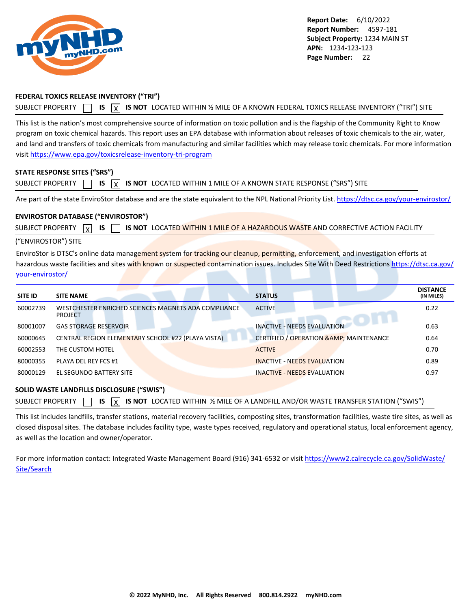<span id="page-22-0"></span>

### **FEDERAL TOXICS RELEASE INVENTORY ("TRI")**

SUBJECT PROPERTY **15** IS  $\overline{X}$  IS NOT LOCATED WITHIN 1/2 MILE OF A KNOWN FEDERAL TOXICS RELEASE INVENTORY ("TRI") SITE

This list is the nation's most comprehensive source of information on toxic pollution and is the flagship of the Community Right to Know program on toxic chemical hazards. This report uses an EPA database with information about releases of toxic chemicals to the air, water, and land and transfers of toxic chemicals from manufacturing and similar facilities which may release toxic chemicals. For more information visit<https://www.epa.gov/toxicsrelease-inventory-tri-program>

#### **STATE RESPONSE SITES ("SRS")**

| $SUBLECT$ $PROPERTIES$ $\lceil$ |  |  |  |  | <b>IS</b> $\boxed{X}$ <b>IS NOT</b> LOCATED WITHIN 1 MILE OF A KNOWN STATE RESPONSE ("SRS") SITE |  |
|---------------------------------|--|--|--|--|--------------------------------------------------------------------------------------------------|--|
|---------------------------------|--|--|--|--|--------------------------------------------------------------------------------------------------|--|

Are part of the state EnviroStor database and are the state equivalent to the NPL National Priority List.<https://dtsc.ca.gov/your-envirostor/>

#### **ENVIROSTOR DATABASE ("ENVIROSTOR")**

SUBJECT PROPERTY  $\boxed{\chi}$  **IS**  $\boxed{\phantom{\chi}}$  **is not** located within 1 mile of a hazardous waste and corrective action facility

#### ("ENVIROSTOR") SITE

EnviroStor is DTSC's online data management system for tracking our cleanup, permitting, enforcement, and investigation efforts at hazardous waste facilities and sites with known or suspected contamination issues. Includes Site With Deed Restrictions [https://dtsc.ca.gov/](https://dtsc.ca.gov/your-envirostor/) [your-envirostor/](https://dtsc.ca.gov/your-envirostor/)

| <b>SITE ID</b> | <b>SITE NAME</b>                                                       | <b>STATUS</b>                                       | <b>DISTANCE</b><br>(IN MILES) |
|----------------|------------------------------------------------------------------------|-----------------------------------------------------|-------------------------------|
| 60002739       | WESTCHESTER ENRICHED SCIENCES MAGNETS ADA COMPLIANCE<br><b>PROJECT</b> | <b>ACTIVE</b>                                       | 0.22                          |
| 80001007       | <b>GAS STORAGE RESERVOIR</b>                                           | <b>INACTIVE - NEEDS EVALUATION</b>                  | 0.63                          |
| 60000645       | CENTRAL REGION ELEMENTARY SCHOOL #22 (PLAYA VISTA)                     | <b>CERTIFIED / OPERATION &amp; AMP; MAINTENANCE</b> | 0.64                          |
| 60002553       | THE CUSTOM HOTEL                                                       | <b>ACTIVE</b>                                       | 0.70                          |
| 80000355       | PLAYA DEL REY FCS #1                                                   | <b>INACTIVE - NEEDS EVALUATION</b>                  | 0.89                          |
| 80000129       | EL SEGUNDO BATTERY SITE                                                | <b>INACTIVE - NEEDS EVALUATION</b>                  | 0.97                          |

#### **SOLID WASTE LANDFILLS DISCLOSURE ("SWIS")**

| SUBJECT PROPERTY $\Box$ IS $\overline{X}$ IS NOT LOCATED WITHIN ½ MILE OF A LANDFILL AND/OR WASTE TRANSFER STATION ("SWIS") |  |  |  |  |  |  |  |  |  |  |  |  |
|-----------------------------------------------------------------------------------------------------------------------------|--|--|--|--|--|--|--|--|--|--|--|--|
|-----------------------------------------------------------------------------------------------------------------------------|--|--|--|--|--|--|--|--|--|--|--|--|

This list includes landfills, transfer stations, material recovery facilities, composting sites, transformation facilities, waste tire sites, as well as closed disposal sites. The database includes facility type, waste types received, regulatory and operational status, local enforcement agency, as well as the location and owner/operator.

For more information contact: Integrated Waste Management Board (916) 341-6532 or visit [https://www2.calrecycle.ca.gov/SolidWaste/](https://www2.calrecycle.ca.gov/SolidWaste/Site/Search) [Site/Search](https://www2.calrecycle.ca.gov/SolidWaste/Site/Search)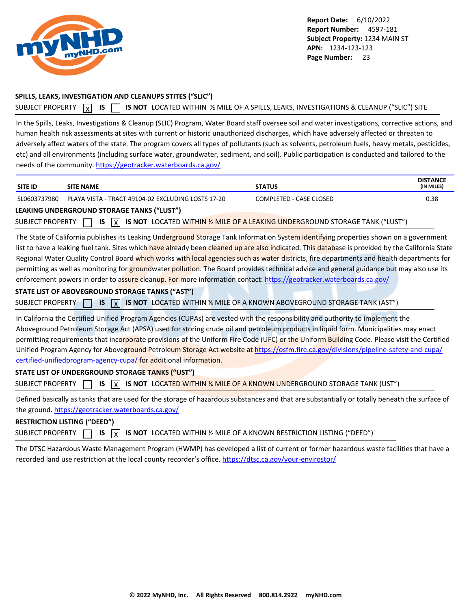<span id="page-23-0"></span>

### **SPILLS, LEAKS, INVESTIGATION AND CLEANUPS STITES ("SLIC")**

```
SUBJECT PROPERTY N IS CORPT IS NOT LOCATED WITHIN 1⁄2 MILE OF A SPILLS, LEAKS, INVESTIGATIONS & CLEANUP ("SLIC") SITE
```
In the Spills, Leaks, Investigations & Cleanup (SLIC) Program, Water Board staff oversee soil and water investigations, corrective actions, and human health risk assessments at sites with current or historic unauthorized discharges, which have adversely affected or threaten to adversely affect waters of the state. The program covers all types of pollutants (such as solvents, petroleum fuels, heavy metals, pesticides, etc) and all environments (including surface water, groundwater, sediment, and soil). Public participation is conducted and tailored to the needs of the community.<https://geotracker.waterboards.ca.gov/>

| <b>SITE ID</b>          | <b>SITE NAME</b>                                                                                                                                                                                                                                                                                                                                                                                                                                                                                                                                                                                                                                                                                                                                                                               | <b>STATUS</b>                                                                 | <b>DISTANCE</b><br>(IN MILES) |
|-------------------------|------------------------------------------------------------------------------------------------------------------------------------------------------------------------------------------------------------------------------------------------------------------------------------------------------------------------------------------------------------------------------------------------------------------------------------------------------------------------------------------------------------------------------------------------------------------------------------------------------------------------------------------------------------------------------------------------------------------------------------------------------------------------------------------------|-------------------------------------------------------------------------------|-------------------------------|
| SL0603737980            | PLAYA VISTA - TRACT 49104-02 EXCLUDING LOSTS 17-20                                                                                                                                                                                                                                                                                                                                                                                                                                                                                                                                                                                                                                                                                                                                             | COMPLETED - CASE CLOSED                                                       | 0.38                          |
|                         | LEAKING UNDERGROUND STORAGE TANKS ("LUST")                                                                                                                                                                                                                                                                                                                                                                                                                                                                                                                                                                                                                                                                                                                                                     |                                                                               |                               |
| <b>SUBJECT PROPERTY</b> | <b>IS</b><br>l x l                                                                                                                                                                                                                                                                                                                                                                                                                                                                                                                                                                                                                                                                                                                                                                             | IS NOT LOCATED WITHIN 1/2 MILE OF A LEAKING UNDERGROUND STORAGE TANK ("LUST") |                               |
| <b>SUBJECT PROPERTY</b> | The State of California publishes its Leaking Underground Storage Tank Information System identifying properties shown on a government<br>list to have a leaking fuel tank. Sites which have already been cleaned up are also indicated. This database is provided by the California State<br>Regional Water Quality Control Board which works with local agencies such as water districts, fire departments and health departments for<br>permitting as well as monitoring for groundwater pollution. The Board provides technical advice and general guidance but may also use its<br>enforcement powers in order to assure cleanup. For more information contact: https://geotracker.waterboards.ca.gov/<br>STATE LIST OF ABOVEGROUND STORAGE TANKS ("AST")<br><b>IS</b><br>$\vert x \vert$ | IS NOT LOCATED WITHIN % MILE OF A KNOWN ABOVEGROUND STORAGE TANK (AST")       |                               |
| <b>SUBJECT PROPERTY</b> | In California the Certified Unified Program Agencies (CUPAs) are vested with the responsibility and authority to implement the<br>Aboveground Petroleum Storage Act (APSA) used for storing crude oil and petroleum products in liquid form. Municipalities may enact<br>permitting requirements that incorporate provisions of the Uniform Fire Code (UFC) or the Uniform Building Code. Please visit the Certified<br>Unified Program Agency for Aboveground Petroleum Storage Act website at https://osfm.fire.ca.gov/divisions/pipeline-safety-and-cupa/<br>certified-unifiedprogram-agency-cupa/for additional information.<br>STATE LIST OF UNDERGROUND STORAGE TANKS ("UST")<br><b>IS</b><br>$\overline{\mathbf{x}}$                                                                    | IS NOT LOCATED WITHIN % MILE OF A KNOWN UNDERGROUND STORAGE TANK (UST")       |                               |
|                         | Defined basically as tanks that are used for the storage of hazardous substances and that are substantially or totally beneath the surface of<br>the ground. https://geotracker.waterboards.ca.gov/                                                                                                                                                                                                                                                                                                                                                                                                                                                                                                                                                                                            |                                                                               |                               |

# **RESTRICTION LISTING ("DEED")**

SUBJECT PROPERTY **15** IS **X IS NOT** LOCATED WITHIN % MILE OF A KNOWN RESTRICTION LISTING ("DEED")

The DTSC Hazardous Waste Management Program (HWMP) has developed a list of current or former hazardous waste facilities that have a recorded land use restriction at the local county recorder's office.<https://dtsc.ca.gov/your-envirostor/>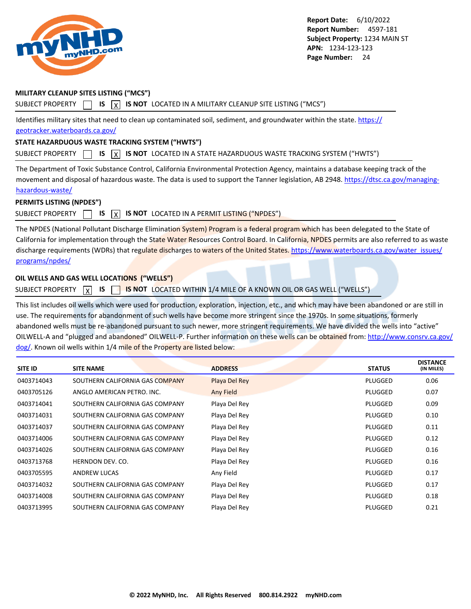<span id="page-24-0"></span>

### **MILITARY CLEANUP SITES LISTING ("MCS")**

SUBJECT PROPERTY  $\Box$  **IS**  $\chi$  **IS NOT** LOCATED IN A MILITARY CLEANUP SITE LISTING ("MCS")

Identifies military sites that need to clean up contaminated soil, sediment, and groundwater within the state. [https://](https://geotracker.waterboards.ca.gov/) [geotracker.waterboards.ca.gov/](https://geotracker.waterboards.ca.gov/)

#### **STATE HAZARDUOUS WASTE TRACKING SYSTEM ("HWTS")**

SUBJECT PROPERTY **15** IS **X** IS NOT LOCATED IN A STATE HAZARDUOUS WASTE TRACKING SYSTEM ("HWTS")

The Department of Toxic Substance Control, California Environmental Protection Agency, maintains a database keeping track of the movement and disposal of hazardous waste. The data is used to support the Tanner legislation, AB 2948. [https://dtsc.ca.gov/managing](https://dtsc.ca.gov/managing-hazardous-waste/)[hazardous-waste/](https://dtsc.ca.gov/managing-hazardous-waste/)

## **PERMITS LISTING (NPDES")**

### SUBJECT PROPERTY  $\Box$  **IS**  $\Box$  **IS NOT** LOCATED IN A PERMIT LISTING ("NPDES")

The NPDES (National Pollutant Discharge Elimination System) Program is a federal program which has been delegated to the State of California for implementation through the State Water Resources Control Board. In California, NPDES permits are also referred to as waste discharge requirements (WDRs) that regulate discharges to waters of the United States. [https://www.waterboards.ca.gov/water\\_issues/](https://www.waterboards.ca.gov/water_issues/programs/npdes/) [programs/npdes/](https://www.waterboards.ca.gov/water_issues/programs/npdes/)

### **OIL WELLS AND GAS WELL LOCATIONS ("WELLS")**

SUBJECT PROPERTY **X** IS **SUBJECT BY ANOT** LOCATED WITHIN 1/4 MILE OF A KNOWN OIL OR GAS WELL ("WELLS")

This list includes oil wells which were used for production, exploration, injection, etc., and which may have been abandoned or are still in use. The requirements for abandonment of such wells have become more stringent since the 1970s. In some situations, formerly abandoned wells must be re-abandoned pursuant to such newer, more stringent requirements. We have divided the wells into "active" OILWELL-A and "plugged and abandoned" OILWELL-P. Further information on these wells can be obtained from: [http://www.consrv.ca.gov/](http://www.consrv.ca.gov/dog/) [dog/.](http://www.consrv.ca.gov/dog/) Known oil wells within 1/4 mile of the Property are listed below:

| <b>SITE ID</b> | <b>SITE NAME</b>                | <b>ADDRESS</b> | <b>STATUS</b> | <b>DISTANCE</b><br>(IN MILES) |
|----------------|---------------------------------|----------------|---------------|-------------------------------|
| 0403714043     | SOUTHERN CALIFORNIA GAS COMPANY | Playa Del Rey  | PLUGGED       | 0.06                          |
| 0403705126     | ANGLO AMERICAN PETRO. INC.      | Any Field      | PLUGGED       | 0.07                          |
| 0403714041     | SOUTHERN CALIFORNIA GAS COMPANY | Playa Del Rey  | PLUGGED       | 0.09                          |
| 0403714031     | SOUTHERN CALIFORNIA GAS COMPANY | Playa Del Rey  | PLUGGED       | 0.10                          |
| 0403714037     | SOUTHERN CALIFORNIA GAS COMPANY | Playa Del Rey  | PLUGGED       | 0.11                          |
| 0403714006     | SOUTHERN CALIFORNIA GAS COMPANY | Playa Del Rey  | PLUGGED       | 0.12                          |
| 0403714026     | SOUTHERN CALIFORNIA GAS COMPANY | Playa Del Rey  | PLUGGED       | 0.16                          |
| 0403713768     | HERNDON DEV. CO.                | Playa Del Rey  | PLUGGED       | 0.16                          |
| 0403705595     | <b>ANDREW LUCAS</b>             | Any Field      | PLUGGED       | 0.17                          |
| 0403714032     | SOUTHERN CALIFORNIA GAS COMPANY | Playa Del Rey  | PLUGGED       | 0.17                          |
| 0403714008     | SOUTHERN CALIFORNIA GAS COMPANY | Playa Del Rey  | PLUGGED       | 0.18                          |
| 0403713995     | SOUTHERN CALIFORNIA GAS COMPANY | Playa Del Rey  | PLUGGED       | 0.21                          |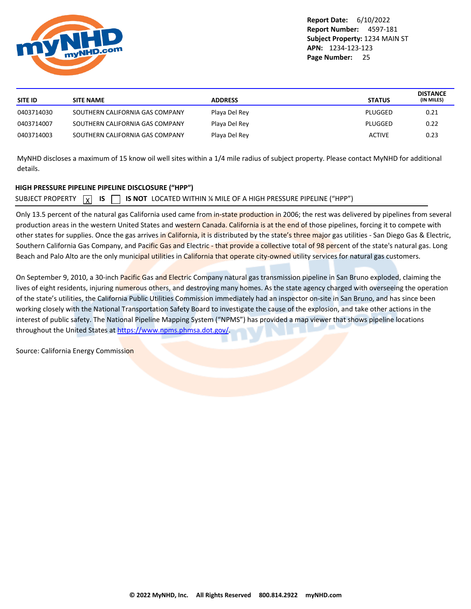<span id="page-25-0"></span>

| SITE ID    | <b>SITE NAME</b>                | <b>ADDRESS</b> | <b>STATUS</b> | <b>DISTANCE</b><br>(IN MILES) |
|------------|---------------------------------|----------------|---------------|-------------------------------|
| 0403714030 | SOUTHERN CALIFORNIA GAS COMPANY | Playa Del Rey  | PLUGGED       | 0.21                          |
| 0403714007 | SOUTHERN CALIFORNIA GAS COMPANY | Playa Del Rey  | PLUGGED       | 0.22                          |
| 0403714003 | SOUTHERN CALIFORNIA GAS COMPANY | Playa Del Rey  | <b>ACTIVE</b> | 0.23                          |
|            |                                 |                |               |                               |

MyNHD discloses a maximum of 15 know oil well sites within a 1/4 mile radius of subject property. Please contact MyNHD for additional details.

### **HIGH PRESSURE PIPELINE PIPELINE DISCLOSURE ("HPP")**

SUBJECT PROPERTY  $\boxed{\chi}$ **IS IS NOT** LOCATED WITHIN ¼ MILE OF A HIGH PRESSURE PIPELINE ("HPP")

Only 13.5 percent of the natural gas California used came from in-state production in 2006; the rest was delivered by pipelines from several production areas in the western United States and western Canada. California is at the end of those pipelines, forcing it to compete with other states for supplies. Once the gas arrives in California, it is distributed by the state's three major gas utilities - San Diego Gas & Electric, Southern California Gas Company, and Pacific Gas and Electric - that provide a collective total of 98 percent of the state's natural gas. Long Beach and Palo Alto are the only municipal utilities in California that operate city-owned utility services for natural gas customers.

On September 9, 2010, a 30-inch Pacific Gas and Electric Company natural gas transmission pipeline in San Bruno exploded, claiming the lives of eight residents, injuring numerous others, and destroying many homes. As the state agency charged with overseeing the operation of the state's utilities, the California Public Utilities Commission immediately had an inspector on-site in San Bruno, and has since been working closely with the National Transportation Safety Board to investigate the cause of the explosion, and take other actions in the interest of public safety. The National Pipeline Mapping System ("NPMS") has provided a map viewer that shows pipeline locations throughout the United States at<https://www.npms.phmsa.dot.gov/>.

Source: California Energy Commission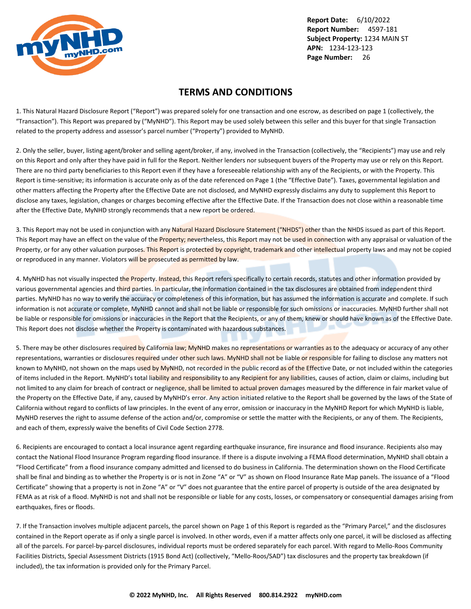<span id="page-26-0"></span>

## **TERMS AND CONDITIONS**

1. This Natural Hazard Disclosure Report ("Report") was prepared solely for one transaction and one escrow, as described on page 1 (collectively, the "Transaction"). This Report was prepared by ("MyNHD"). This Report may be used solely between this seller and this buyer for that single Transaction related to the property address and assessor's parcel number ("Property") provided to MyNHD.

2. Only the seller, buyer, listing agent/broker and selling agent/broker, if any, involved in the Transaction (collectively, the "Recipients") may use and rely on this Report and only after they have paid in full for the Report. Neither lenders nor subsequent buyers of the Property may use or rely on this Report. There are no third party beneficiaries to this Report even if they have a foreseeable relationship with any of the Recipients, or with the Property. This Report is time-sensitive; its information is accurate only as of the date referenced on Page 1 (the "Effective Date"). Taxes, governmental legislation and other matters affecting the Property after the Effective Date are not disclosed, and MyNHD expressly disclaims any duty to supplement this Report to disclose any taxes, legislation, changes or charges becoming effective after the Effective Date. If the Transaction does not close within a reasonable time after the Effective Date, MyNHD strongly recommends that a new report be ordered.

3. This Report may not be used in conjunction with any Natural Hazard Disclosure Statement ("NHDS") other than the NHDS issued as part of this Report. This Report may have an effect on the value of the Property; nevertheless, this Report may not be used in connection with any appraisal or valuation of the Property, or for any other valuation purposes. This Report is protected by copyright, trademark and other intellectual property laws and may not be copied or reproduced in any manner. Violators will be prosecuted as permitted by law.

4. MyNHD has not visually inspected the Property. Instead, this Report refers specifically to certain records, statutes and other information provided by various governmental agencies and third parties. In particular, the information contained in the tax disclosures are obtained from independent third parties. MyNHD has no way to verify the accuracy or completeness of this information, but has assumed the information is accurate and complete. If such information is not accurate or complete, MyNHD cannot and shall not be liable or responsible for such omissions or inaccuracies. MyNHD further shall not be liable or responsible for omissions or inaccuracies in the Report that the Recipients, or any of them, knew or should have known as of the Effective Date. This Report does not disclose whether the Property is contaminated with hazardous substances.

5. There may be other disclosures required by California law; MyNHD makes no representations or warranties as to the adequacy or accuracy of any other representations, warranties or disclosures required under other such laws. MyNHD shall not be liable or responsible for failing to disclose any matters not known to MyNHD, not shown on the maps used by MyNHD, not recorded in the public record as of the Effective Date, or not included within the categories of items included in the Report. MyNHD's total liability and responsibility to any Recipient for any liabilities, causes of action, claim or claims, including but not limited to any claim for breach of contract or negligence, shall be limited to actual proven damages measured by the difference in fair market value of the Property on the Effective Date, if any, caused by MyNHD's error. Any action initiated relative to the Report shall be governed by the laws of the State of California without regard to conflicts of law principles. In the event of any error, omission or inaccuracy in the MyNHD Report for which MyNHD is liable, MyNHD reserves the right to assume defense of the action and/or, compromise or settle the matter with the Recipients, or any of them. The Recipients, and each of them, expressly waive the benefits of Civil Code Section 2778.

6. Recipients are encouraged to contact a local insurance agent regarding earthquake insurance, fire insurance and flood insurance. Recipients also may contact the National Flood Insurance Program regarding flood insurance. If there is a dispute involving a FEMA flood determination, MyNHD shall obtain a "Flood Certificate" from a flood insurance company admitted and licensed to do business in California. The determination shown on the Flood Certificate shall be final and binding as to whether the Property is or is not in Zone "A" or "V" as shown on Flood Insurance Rate Map panels. The issuance of a "Flood Certificate" showing that a property is not in Zone "A" or "V" does not guarantee that the entire parcel of property is outside of the area designated by FEMA as at risk of a flood. MyNHD is not and shall not be responsible or liable for any costs, losses, or compensatory or consequential damages arising from earthquakes, fires or floods.

7. If the Transaction involves multiple adjacent parcels, the parcel shown on Page 1 of this Report is regarded as the "Primary Parcel," and the disclosures contained in the Report operate as if only a single parcel is involved. In other words, even if a matter affects only one parcel, it will be disclosed as affecting all of the parcels. For parcel-by-parcel disclosures, individual reports must be ordered separately for each parcel. With regard to Mello-Roos Community Facilities Districts, Special Assessment Districts (1915 Bond Act) (collectively, "Mello-Roos/SAD") tax disclosures and the property tax breakdown (if included), the tax information is provided only for the Primary Parcel.